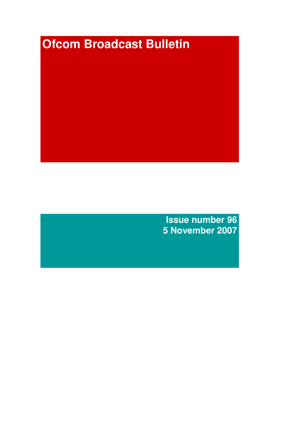# **Ofcom Broadcast Bulletin**

**Issue number 96 5 November 2007**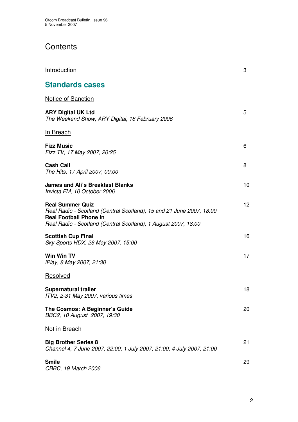# **Contents**

| Introduction                                                                                                                                                                                       | 3  |
|----------------------------------------------------------------------------------------------------------------------------------------------------------------------------------------------------|----|
| <b>Standards cases</b>                                                                                                                                                                             |    |
| Notice of Sanction                                                                                                                                                                                 |    |
| <b>ARY Digital UK Ltd</b><br>The Weekend Show, ARY Digital, 18 February 2006                                                                                                                       | 5  |
| In Breach                                                                                                                                                                                          |    |
| <b>Fizz Music</b><br>Fizz TV, 17 May 2007, 20:25                                                                                                                                                   | 6  |
| <b>Cash Call</b><br>The Hits, 17 April 2007, 00:00                                                                                                                                                 | 8  |
| <b>James and Ali's Breakfast Blanks</b><br>Invicta FM, 10 October 2006                                                                                                                             | 10 |
| <b>Real Summer Quiz</b><br>Real Radio - Scotland (Central Scotland), 15 and 21 June 2007, 18:00<br><b>Real Football Phone In</b><br>Real Radio - Scotland (Central Scotland), 1 August 2007, 18:00 | 12 |
| <b>Scottish Cup Final</b><br>Sky Sports HDX, 26 May 2007, 15:00                                                                                                                                    | 16 |
| Win Win TV<br>iPlay, 8 May 2007, 21:30                                                                                                                                                             | 17 |
| Resolved                                                                                                                                                                                           |    |
| <b>Supernatural trailer</b><br>ITV2, 2-31 May 2007, various times                                                                                                                                  | 18 |
| The Cosmos: A Beginner's Guide<br>BBC2, 10 August 2007, 19:30                                                                                                                                      | 20 |
| Not in Breach                                                                                                                                                                                      |    |
| <b>Big Brother Series 8</b><br>Channel 4, 7 June 2007, 22:00; 1 July 2007, 21:00; 4 July 2007, 21:00                                                                                               | 21 |
| Smile<br>CBBC, 19 March 2006                                                                                                                                                                       | 29 |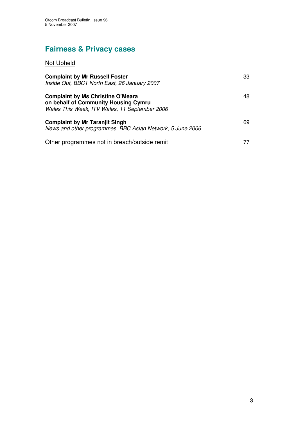# **Fairness & Privacy cases**

## Not Upheld

| <b>Complaint by Mr Russell Foster</b><br>Inside Out, BBC1 North East, 26 January 2007                                             | 33 |
|-----------------------------------------------------------------------------------------------------------------------------------|----|
| <b>Complaint by Ms Christine O'Meara</b><br>on behalf of Community Housing Cymru<br>Wales This Week, ITV Wales, 11 September 2006 | 48 |
| <b>Complaint by Mr Taranjit Singh</b><br>News and other programmes, BBC Asian Network, 5 June 2006                                | 69 |
| Other programmes not in breach/outside remit                                                                                      |    |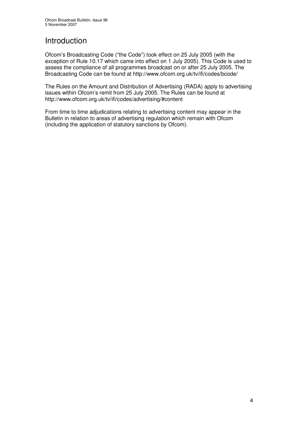## **Introduction**

Ofcom's Broadcasting Code ("the Code") took effect on 25 July 2005 (with the exception of Rule 10.17 which came into effect on 1 July 2005). This Code is used to assess the compliance of all programmes broadcast on or after 25 July 2005. The Broadcasting Code can be found at http://www.ofcom.org.uk/tv/ifi/codes/bcode/

The Rules on the Amount and Distribution of Advertising (RADA) apply to advertising issues within Ofcom's remit from 25 July 2005. The Rules can be found at http://www.ofcom.org.uk/tv/ifi/codes/advertising/#content

From time to time adjudications relating to advertising content may appear in the Bulletin in relation to areas of advertising regulation which remain with Ofcom (including the application of statutory sanctions by Ofcom).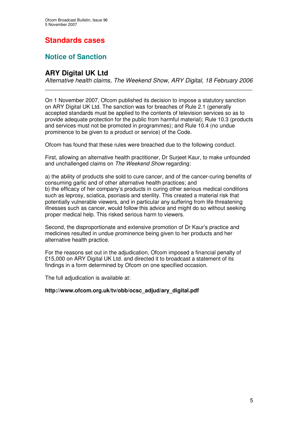# **Standards cases**

## **Notice of Sanction**

## **ARY Digital UK Ltd**

*Alternative health claims, The Weekend Show, ARY Digital, 18 February 2006* \_\_\_\_\_\_\_\_\_\_\_\_\_\_\_\_\_\_\_\_\_\_\_\_\_\_\_\_\_\_\_\_\_\_\_\_\_\_\_\_\_\_\_\_\_\_\_\_\_\_\_\_\_\_\_\_\_\_\_\_\_\_

On 1 November 2007, Ofcom published its decision to impose a statutory sanction on ARY Digital UK Ltd. The sanction was for breaches of Rule 2.1 (generally accepted standards must be applied to the contents of television services so as to provide adequate protection for the public from harmful material); Rule 10.3 (products and services must not be promoted in programmes); and Rule 10.4 (no undue prominence to be given to a product or service) of the Code.

Ofcom has found that these rules were breached due to the following conduct.

First, allowing an alternative health practitioner, Dr Surjeet Kaur, to make unfounded and unchallenged claims on *The Weekend Show* regarding:

a) the ability of products she sold to cure cancer, and of the cancer-curing benefits of consuming garlic and of other alternative health practices; and b) the efficacy of her company's products in curing other serious medical conditions such as leprosy, sciatica, psoriasis and sterility. This created a material risk that potentially vulnerable viewers, and in particular any suffering from life threatening illnesses such as cancer, would follow this advice and might do so without seeking proper medical help. This risked serious harm to viewers.

Second, the disproportionate and extensive promotion of Dr Kaur's practice and medicines resulted in undue prominence being given to her products and her alternative health practice.

For the reasons set out in the adjudication, Ofcom imposed a financial penalty of £15,000 on ARY Digital UK Ltd. and directed it to broadcast a statement of its findings in a form determined by Ofcom on one specified occasion.

The full adjudication is available at:

#### **http://www.ofcom.org.uk/tv/obb/ocsc\_adjud/ary\_digital.pdf**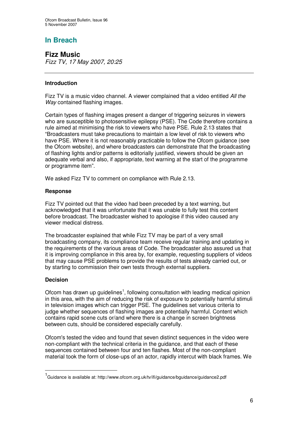## **In Breach**

**Fizz Music** *Fizz TV, 17 May 2007, 20:25*

#### **Introduction**

Fizz TV is a music video channel. A viewer complained that a video entitled *All the Way* contained flashing images.

Certain types of flashing images present a danger of triggering seizures in viewers who are susceptible to photosensitive epilepsy (PSE). The Code therefore contains a rule aimed at minimising the risk to viewers who have PSE. Rule 2.13 states that "Broadcasters must take precautions to maintain a low level of risk to viewers who have PSE. Where it is not reasonably practicable to follow the Ofcom guidance (see the Ofcom website), and where broadcasters can demonstrate that the broadcasting of flashing lights and/or patterns is editorially justified, viewers should be given an adequate verbal and also, if appropriate, text warning at the start of the programme or programme item".

We asked Fizz TV to comment on compliance with Rule 2.13.

#### **Response**

Fizz TV pointed out that the video had been preceded by a text warning, but acknowledged that it was unfortunate that it was unable to fully test this content before broadcast. The broadcaster wished to apologise if this video caused any viewer medical distress.

The broadcaster explained that while Fizz TV may be part of a very small broadcasting company, its compliance team receive regular training and updating in the requirements of the various areas of Code. The broadcaster also assured us that it is improving compliance in this area by, for example, requesting suppliers of videos that may cause PSE problems to provide the results of tests already carried out, or by starting to commission their own tests through external suppliers.

#### **Decision**

Ofcom has drawn up guidelines<sup>1</sup>, following consultation with leading medical opinion in this area, with the aim of reducing the risk of exposure to potentially harmful stimuli in television images which can trigger PSE. The guidelines set various criteria to judge whether sequences of flashing images are potentially harmful. Content which contains rapid scene cuts or/and where there is a change in screen brightness between cuts, should be considered especially carefully.

Ofcom's tested the video and found that seven distinct sequences in the video were non-compliant with the technical criteria in the guidance, and that each of these sequences contained between four and ten flashes. Most of the non-compliant material took the form of close-ups of an actor, rapidly intercut with black frames. We

<sup>&</sup>lt;sup>1</sup>Guidance is available at: http://www.ofcom.org.uk/tv/ifi/guidance/bguidance/guidance2.pdf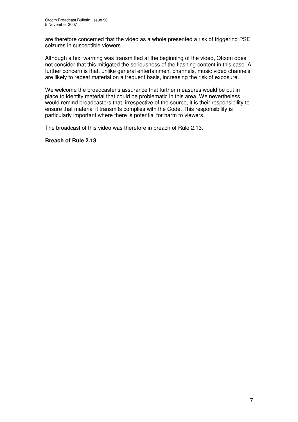are therefore concerned that the video as a whole presented a risk of triggering PSE seizures in susceptible viewers.

Although a text warning was transmitted at the beginning of the video, Ofcom does not consider that this mitigated the seriousness of the flashing content in this case. A further concern is that, unlike general entertainment channels, music video channels are likely to repeat material on a frequent basis, increasing the risk of exposure.

We welcome the broadcaster's assurance that further measures would be put in place to identify material that could be problematic in this area. We nevertheless would remind broadcasters that, irrespective of the source, it is their responsibility to ensure that material it transmits complies with the Code. This responsibility is particularly important where there is potential for harm to viewers.

The broadcast of this video was therefore in breach of Rule 2.13.

#### **Breach of Rule 2.13**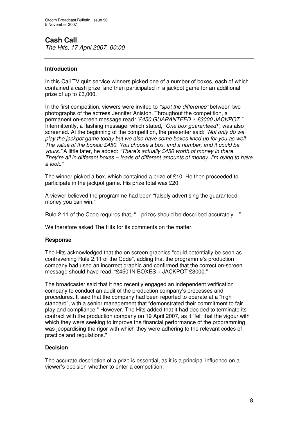## **Cash Call**

*The Hits, 17 April 2007, 00:00*

#### **Introduction**

In this Call TV quiz service winners picked one of a number of boxes, each of which contained a cash prize, and then participated in a jackpot game for an additional prize of up to £3,000.

In the first competition, viewers were invited to *"spot the difference"* between two photographs of the actress Jennifer Aniston. Throughout the competition, a permanent on-screen message read*: "£450 GUARANTEED + £3000 JACKPOT."* Intermittently, a flashing message, which stated, *"One box guaranteed!",* was also screened. At the beginning of the competition, the presenter said: *"Not only do we play the jackpot game today but we also have some boxes lined up for you as well. The value of the boxes: £450. You choose a box, and a number, and it could be yours."* A little later, he added: *"There's actually £450 worth of money in there. They're all in different boxes – loads of different amounts of money. I'm dying to have a look."*

The winner picked a box, which contained a prize of £10. He then proceeded to participate in the jackpot game. His prize total was £20.

A viewer believed the programme had been "falsely advertising the guaranteed money you can win."

Rule 2.11 of the Code requires that, "…prizes should be described accurately…".

We therefore asked The Hits for its comments on the matter.

#### **Response**

The Hits acknowledged that the on screen graphics "could potentially be seen as contravening Rule 2.11 of the Code", adding that the programme's production company had used an incorrect graphic and confirmed that the correct on-screen message should have read, "£450 IN BOXES + JACKPOT £3000."

The broadcaster said that it had recently engaged an independent verification company to conduct an audit of the production company's processes and procedures. It said that the company had been reported to operate at a "high standard", with a senior management that "demonstrated their commitment to fair play and compliance." However, The Hits added that it had decided to terminate its contract with the production company on 19 April 2007, as it "felt that the vigour with which they were seeking to improve the financial performance of the programming was jeopardising the rigor with which they were adhering to the relevant codes of practice and regulations."

#### **Decision**

The accurate description of a prize is essential, as it is a principal influence on a viewer's decision whether to enter a competition.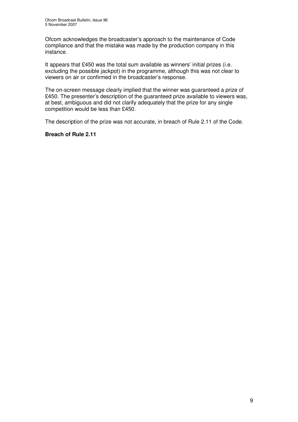Ofcom acknowledges the broadcaster's approach to the maintenance of Code compliance and that the mistake was made by the production company in this instance.

It appears that £450 was the total sum available as winners' initial prizes (i.e. excluding the possible jackpot) in the programme, although this was not clear to viewers on air or confirmed in the broadcaster's response.

The on-screen message clearly implied that the winner was guaranteed a prize of £450. The presenter's description of the guaranteed prize available to viewers was, at best, ambiguous and did not clarify adequately that the prize for any single competition would be less than £450.

The description of the prize was not accurate, in breach of Rule 2.11 of the Code.

#### **Breach of Rule 2.11**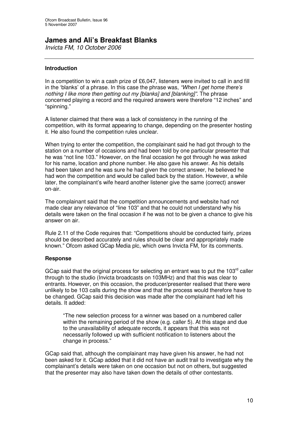## **James and Ali's Breakfast Blanks**

*Invicta FM, 10 October 2006*

#### **Introduction**

In a competition to win a cash prize of £6,047, listeners were invited to call in and fill in the 'blanks' of a phrase. In this case the phrase was, *"When I get home there's nothing I like more then getting out my [blanks] and [blanking]".* The phrase concerned playing a record and the required answers were therefore "12 inches" and "spinning."

A listener claimed that there was a lack of consistency in the running of the competition, with its format appearing to change, depending on the presenter hosting it. He also found the competition rules unclear.

When trying to enter the competition, the complainant said he had got through to the station on a number of occasions and had been told by one particular presenter that he was "not line 103." However, on the final occasion he got through he was asked for his name, location and phone number. He also gave his answer. As his details had been taken and he was sure he had given the correct answer, he believed he had won the competition and would be called back by the station. However, a while later, the complainant's wife heard another listener give the same (correct) answer on-air.

The complainant said that the competition announcements and website had not made clear any relevance of "line 103" and that he could not understand why his details were taken on the final occasion if he was not to be given a chance to give his answer on air.

Rule 2.11 of the Code requires that: "Competitions should be conducted fairly, prizes should be described accurately and rules should be clear and appropriately made known." Ofcom asked GCap Media plc, which owns Invicta FM, for its comments.

#### **Response**

GCap said that the original process for selecting an entrant was to put the 103 $^{\text{rd}}$  caller through to the studio (Invicta broadcasts on 103MHz) and that this was clear to entrants. However, on this occasion, the producer/presenter realised that there were unlikely to be 103 calls during the show and that the process would therefore have to be changed. GCap said this decision was made after the complainant had left his details. It added:

"The new selection process for a winner was based on a numbered caller within the remaining period of the show (e.g. caller 5). At this stage and due to the unavailability of adequate records, it appears that this was not necessarily followed up with sufficient notification to listeners about the change in process."

GCap said that, although the complainant may have given his answer, he had not been asked for it. GCap added that it did not have an audit trail to investigate why the complainant's details were taken on one occasion but not on others, but suggested that the presenter may also have taken down the details of other contestants.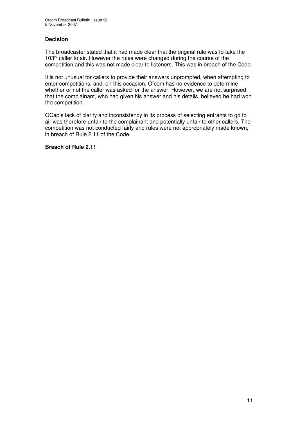#### **Decision**

The broadcaster stated that it had made clear that the original rule was to take the 103<sup>rd</sup> caller to air. However the rules were changed during the course of the competition and this was not made clear to listeners. This was in breach of the Code.

It is not unusual for callers to provide their answers unprompted, when attempting to enter competitions, and, on this occasion, Ofcom has no evidence to determine whether or not the caller was asked for the answer. However, we are not surprised that the complainant, who had given his answer and his details, believed he had won the competition.

GCap's lack of clarity and inconsistency in its process of selecting entrants to go to air was therefore unfair to the complainant and potentially unfair to other callers. The competition was not conducted fairly and rules were not appropriately made known, in breach of Rule 2.11 of the Code.

#### **Breach of Rule 2.11**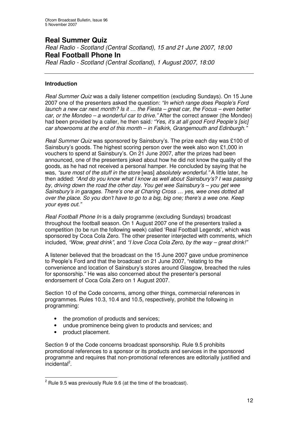## **Real Summer Quiz**

*Real Radio - Scotland (Central Scotland), 15 and 21 June 2007, 18:00* **Real Football Phone In**

*Real Radio - Scotland (Central Scotland), 1 August 2007, 18:00*

#### **Introduction**

*Real Summer Quiz* was a daily listener competition (excluding Sundays). On 15 June 2007 one of the presenters asked the question: *"In which range does People's Ford launch a new car next month? Is it … the Fiesta – great car, the Focus – even better car, or the Mondeo – a wonderful car to drive."* After the correct answer (the Mondeo) had been provided by a caller, he then said*: "Yes, it's at all good Ford People's [sic] car showrooms at the end of this month – in Falkirk, Grangemouth and Edinburgh."*

*Real Summer Quiz* was sponsored by Sainsbury's. The prize each day was £100 of Sainsbury's goods. The highest scoring person over the week also won £1,000 in vouchers to spend at Sainsbury's. On 21 June 2007, after the prizes had been announced, one of the presenters joked about how he did not know the quality of the goods, as he had not received a personal hamper. He concluded by saying that he was, *"sure most of the stuff in the store* [was] *absolutely wonderful."* A little later, he then added: *"And do you know what I know as well about Sainsbury's? I was passing by, driving down the road the other day. You get wee Sainsbury's – you get wee Sainsbury's in garages. There's one at Charing Cross … yes, wee ones dotted all over the place. So you don't have to go to a big, big one; there's a wee one. Keep your eyes out."*

*Real Football Phone In* is a daily programme (excluding Sundays) broadcast throughout the football season. On 1 August 2007 one of the presenters trailed a competition (to be run the following week) called 'Real Football Legends', which was sponsored by Coca Cola Zero. The other presenter interjected with comments, which included, *"Wow, great drink"*, and *"I love Coca Cola Zero, by the way – great drink!"*

A listener believed that the broadcast on the 15 June 2007 gave undue prominence to People's Ford and that the broadcast on 21 June 2007, "relating to the convenience and location of Sainsbury's stores around Glasgow, breached the rules for sponsorship." He was also concerned about the presenter's personal endorsement of Coca Cola Zero on 1 August 2007.

Section 10 of the Code concerns, among other things, commercial references in programmes. Rules 10.3, 10.4 and 10.5, respectively, prohibit the following in programming:

- the promotion of products and services;
- undue prominence being given to products and services; and
- product placement.

Section 9 of the Code concerns broadcast sponsorship. Rule 9.5 prohibits promotional references to a sponsor or its products and services in the sponsored programme and requires that non-promotional references are editorially justified and incidental<sup>2</sup>.

 $2$  Rule 9.5 was previously Rule 9.6 (at the time of the broadcast).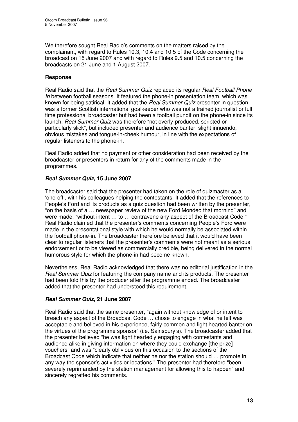We therefore sought Real Radio's comments on the matters raised by the complainant, with regard to Rules 10.3, 10.4 and 10.5 of the Code concerning the broadcast on 15 June 2007 and with regard to Rules 9.5 and 10.5 concerning the broadcasts on 21 June and 1 August 2007.

#### **Response**

Real Radio said that the *Real Summer Quiz* replaced its regular *Real Football Phone In* between football seasons. It featured the phone-in presentation team, which was known for being satirical. It added that the *Real Summer Quiz* presenter in question was a former Scottish international goalkeeper who was not a trained journalist or full time professional broadcaster but had been a football pundit on the phone-in since its launch. *Real Summer Quiz* was therefore "not overly-produced, scripted or particularly slick", but included presenter and audience banter, slight innuendo, obvious mistakes and tongue-in-cheek humour, in line with the expectations of regular listeners to the phone-in.

Real Radio added that no payment or other consideration had been received by the broadcaster or presenters in return for any of the comments made in the programmes.

#### *Real Summer Quiz,* **15 June 2007**

The broadcaster said that the presenter had taken on the role of quizmaster as a 'one-off', with his colleagues helping the contestants. It added that the references to People's Ford and its products as a quiz question had been written by the presenter, "on the basis of a … newspaper review of the new Ford Mondeo that morning" and were made, "without intent … to … contravene any aspect of the Broadcast Code." Real Radio claimed that the presenter's comments concerning People's Ford were made in the presentational style with which he would normally be associated within the football phone-in. The broadcaster therefore believed that it would have been clear to regular listeners that the presenter's comments were not meant as a serious endorsement or to be viewed as commercially credible, being delivered in the normal humorous style for which the phone-in had become known.

Nevertheless, Real Radio acknowledged that there was no editorial justification in the *Real Summer Quiz* for featuring the company name and its products. The presenter had been told this by the producer after the programme ended. The broadcaster added that the presenter had understood this requirement.

#### *Real Summer Quiz,* **21 June 2007**

Real Radio said that the same presenter, "again without knowledge of or intent to breach any aspect of the Broadcast Code … chose to engage in what he felt was acceptable and believed in his experience, fairly common and light hearted banter on the virtues of the programme sponsor" (i.e. Sainsbury's). The broadcaster added that the presenter believed "he was light heartedly engaging with contestants and audience alike in giving information on where they could exchange [the prize] vouchers" and was "clearly oblivious on this occasion to the sections of the Broadcast Code which indicate that neither he nor the station should … promote in any way the sponsor's activities or locations." The presenter had therefore "been severely reprimanded by the station management for allowing this to happen" and sincerely regretted his comments.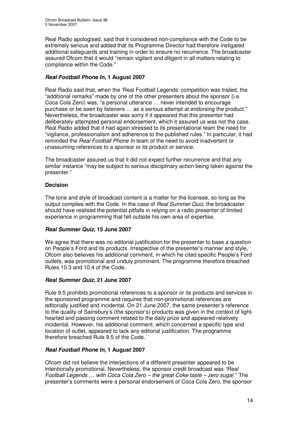Real Radio apologised, said that it considered non-compliance with the Code to be extremely serious and added that its Programme Director had therefore instigated additional safeguards and training in order to ensure no recurrence. The broadcaster assured Ofcom that it would "remain vigilant and diligent in all matters relating to compliance within the Code."

#### *Real Football Phone In,* **1 August 2007**

Real Radio said that, when the 'Real Football Legends' competition was trailed, the "additional remarks" made by one of the other presenters about the sponsor (i.e. Coca Cola Zero) was, "a personal utterance … never intended to encourage purchase or be seen by listeners … as a serious attempt at endorsing the product." Nevertheless, the broadcaster was sorry if it appeared that this presenter had deliberately attempted personal endorsement, which it assured us was not the case. Real Radio added that it had again stressed to its presentational team the need for "vigilance, professionalism and adherence to the published rules." In particular, it had reminded the *Real Football Phone In* team of the need to avoid inadvertent or unassuming references to a sponsor or its product or service.

The broadcaster assured us that it did not expect further recurrence and that any similar instance "may be subject to serious disciplinary action being taken against the presenter."

#### **Decision**

The tone and style of broadcast content is a matter for the licensee, so long as the output complies with the Code. In the case of *Real Summer Quiz*, the broadcaster should have realised the potential pitfalls in relying on a radio presenter of limited experience in programming that fell outside his own area of expertise.

#### *Real Summer Quiz,* **15 June 2007**

We agree that there was no editorial justification for the presenter to base a question on People's Ford and its products. Irrespective of the presenter's manner and style, Ofcom also believes his additional comment, in which he cited specific People's Ford outlets, was promotional and unduly prominent. The programme therefore breached Rules 10.3 and 10.4 of the Code.

#### *Real Summer Quiz,* **21 June 2007**

Rule 9.5 prohibits promotional references to a sponsor or its products and services in the sponsored programme and requires that non-promotional references are editorially justified and incidental. On 21 June 2007, the same presenter's reference to the quality of Sainsbury's (the sponsor's) products was given in the context of lighthearted and passing comment related to the daily prize and appeared relatively incidental. However, his additional comment, which concerned a specific type and location of outlet, appeared to lack any editorial justification. The programme therefore breached Rule 9.5 of the Code.

#### *Real Football Phone In,* **1 August 2007**

Ofcom did not believe the interjections of a different presenter appeared to be intentionally promotional. Nevertheless, the sponsor credit broadcast was *"Real Football Legends … with Coca Cola Zero – the great Coke taste – zero sugar.*" The presenter's comments were a personal endorsement of Coca Cola Zero, the sponsor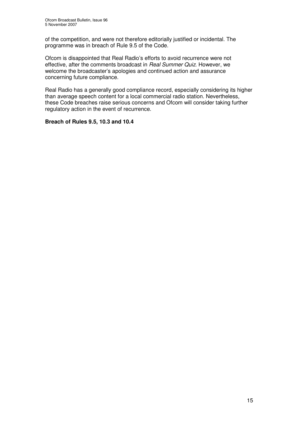of the competition, and were not therefore editorially justified or incidental. The programme was in breach of Rule 9.5 of the Code.

Ofcom is disappointed that Real Radio's efforts to avoid recurrence were not effective, after the comments broadcast in *Real Summer Quiz*. However, we welcome the broadcaster's apologies and continued action and assurance concerning future compliance.

Real Radio has a generally good compliance record, especially considering its higher than average speech content for a local commercial radio station. Nevertheless, these Code breaches raise serious concerns and Ofcom will consider taking further regulatory action in the event of recurrence.

#### **Breach of Rules 9.5, 10.3 and 10.4**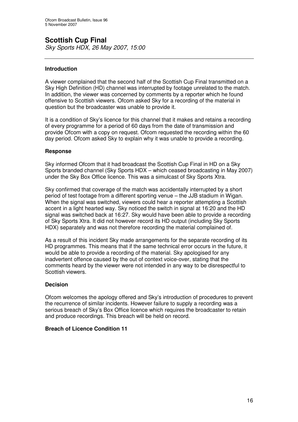# **Scottish Cup Final**

*Sky Sports HDX, 26 May 2007, 15:00*

#### **Introduction**

A viewer complained that the second half of the Scottish Cup Final transmitted on a Sky High Definition (HD) channel was interrupted by footage unrelated to the match. In addition, the viewer was concerned by comments by a reporter which he found offensive to Scottish viewers. Ofcom asked Sky for a recording of the material in question but the broadcaster was unable to provide it.

It is a condition of Sky's licence for this channel that it makes and retains a recording of every programme for a period of 60 days from the date of transmission and provide Ofcom with a copy on request. Ofcom requested the recording within the 60 day period. Ofcom asked Sky to explain why it was unable to provide a recording.

#### **Response**

Sky informed Ofcom that it had broadcast the Scottish Cup Final in HD on a Sky Sports branded channel (Sky Sports HDX – which ceased broadcasting in May 2007) under the Sky Box Office licence. This was a simulcast of Sky Sports Xtra.

Sky confirmed that coverage of the match was accidentally interrupted by a short period of test footage from a different sporting venue – the JJB stadium in Wigan. When the signal was switched, viewers could hear a reporter attempting a Scottish accent in a light hearted way. Sky noticed the switch in signal at 16:20 and the HD signal was switched back at 16:27. Sky would have been able to provide a recording of Sky Sports Xtra. It did not however record its HD output (including Sky Sports HDX) separately and was not therefore recording the material complained of.

As a result of this incident Sky made arrangements for the separate recording of its HD programmes. This means that if the same technical error occurs in the future, it would be able to provide a recording of the material. Sky apologised for any inadvertent offence caused by the out of context voice-over, stating that the comments heard by the viewer were not intended in any way to be disrespectful to Scottish viewers.

#### **Decision**

Ofcom welcomes the apology offered and Sky's introduction of procedures to prevent the recurrence of similar incidents. However failure to supply a recording was a serious breach of Sky's Box Office licence which requires the broadcaster to retain and produce recordings. This breach will be held on record.

#### **Breach of Licence Condition 11**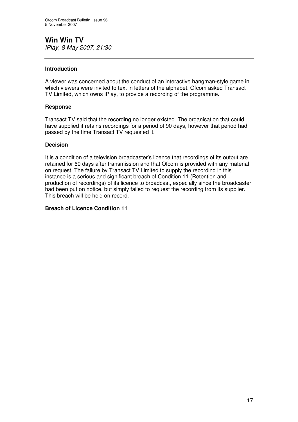### **Win Win TV** *iPlay, 8 May 2007, 21:30*

#### **Introduction**

A viewer was concerned about the conduct of an interactive hangman-style game in which viewers were invited to text in letters of the alphabet. Ofcom asked Transact TV Limited, which owns iPlay, to provide a recording of the programme.

#### **Response**

Transact TV said that the recording no longer existed. The organisation that could have supplied it retains recordings for a period of 90 days, however that period had passed by the time Transact TV requested it.

#### **Decision**

It is a condition of a television broadcaster's licence that recordings of its output are retained for 60 days after transmission and that Ofcom is provided with any material on request. The failure by Transact TV Limited to supply the recording in this instance is a serious and significant breach of Condition 11 (Retention and production of recordings) of its licence to broadcast, especially since the broadcaster had been put on notice, but simply failed to request the recording from its supplier. This breach will be held on record.

#### **Breach of Licence Condition 11**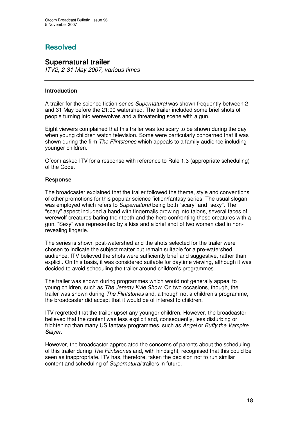## **Resolved**

#### **Supernatural trailer**

*ITV2, 2-31 May 2007, various times*

#### **Introduction**

A trailer for the science fiction series *Supernatural* was shown frequently between 2 and 31 May before the 21:00 watershed. The trailer included some brief shots of people turning into werewolves and a threatening scene with a gun.

Eight viewers complained that this trailer was too scary to be shown during the day when young children watch television. Some were particularly concerned that it was shown during the film *The Flintstones* which appeals to a family audience including younger children.

Ofcom asked ITV for a response with reference to Rule 1.3 (appropriate scheduling) of the Code.

#### **Response**

The broadcaster explained that the trailer followed the theme, style and conventions of other promotions for this popular science fiction/fantasy series. The usual slogan was employed which refers to *Supernatural* being both "scary" and "sexy". The "scary" aspect included a hand with fingernails growing into talons, several faces of werewolf creatures baring their teeth and the hero confronting these creatures with a gun. "Sexy" was represented by a kiss and a brief shot of two women clad in nonrevealing lingerie.

The series is shown post-watershed and the shots selected for the trailer were chosen to indicate the subject matter but remain suitable for a pre-watershed audience. ITV believed the shots were sufficiently brief and suggestive, rather than explicit. On this basis, it was considered suitable for daytime viewing, although it was decided to avoid scheduling the trailer around children's programmes.

The trailer was shown during programmes which would not generally appeal to young children, such as *The Jeremy Kyle Show*. On two occasions, though, the trailer was shown during *The Flintstones* and, although not a children's programme, the broadcaster did accept that it would be of interest to children.

ITV regretted that the trailer upset any younger children. However, the broadcaster believed that the content was less explicit and, consequently, less disturbing or frightening than many US fantasy programmes, such as *Angel* or *Buffy the Vampire Slayer*.

However, the broadcaster appreciated the concerns of parents about the scheduling of this trailer during *The Flintstones* and, with hindsight, recognised that this could be seen as inappropriate. ITV has, therefore, taken the decision not to run similar content and scheduling of *Supernatural* trailers in future.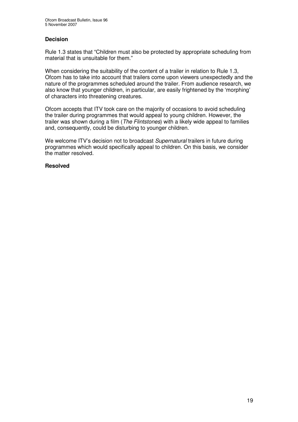#### **Decision**

Rule 1.3 states that "Children must also be protected by appropriate scheduling from material that is unsuitable for them."

When considering the suitability of the content of a trailer in relation to Rule 1.3, Ofcom has to take into account that trailers come upon viewers unexpectedly and the nature of the programmes scheduled around the trailer. From audience research, we also know that younger children, in particular, are easily frightened by the 'morphing' of characters into threatening creatures.

Ofcom accepts that ITV took care on the majority of occasions to avoid scheduling the trailer during programmes that would appeal to young children. However, the trailer was shown during a film (*The Flintstones*) with a likely wide appeal to families and, consequently, could be disturbing to younger children.

We welcome ITV's decision not to broadcast *Supernatural* trailers in future during programmes which would specifically appeal to children. On this basis, we consider the matter resolved.

#### **Resolved**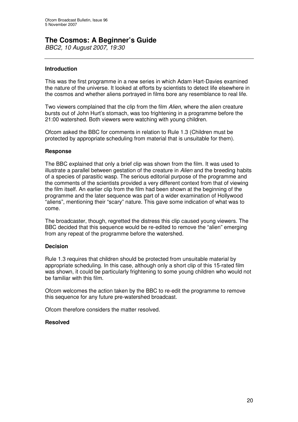## **The Cosmos: A Beginner's Guide**

*BBC2, 10 August 2007, 19:30*

#### **Introduction**

This was the first programme in a new series in which Adam Hart-Davies examined the nature of the universe. It looked at efforts by scientists to detect life elsewhere in the cosmos and whether aliens portrayed in films bore any resemblance to real life.

Two viewers complained that the clip from the film *Alien,* where the alien creature bursts out of John Hurt's stomach, was too frightening in a programme before the 21:00 watershed. Both viewers were watching with young children.

Ofcom asked the BBC for comments in relation to Rule 1.3 (Children must be protected by appropriate scheduling from material that is unsuitable for them).

#### **Response**

The BBC explained that only a brief clip was shown from the film. It was used to illustrate a parallel between gestation of the creature in *Alien* and the breeding habits of a species of parasitic wasp. The serious editorial purpose of the programme and the comments of the scientists provided a very different context from that of viewing the film itself. An earlier clip from the film had been shown at the beginning of the programme and the later sequence was part of a wider examination of Hollywood "aliens", mentioning their "scary" nature. This gave some indication of what was to come.

The broadcaster, though, regretted the distress this clip caused young viewers. The BBC decided that this sequence would be re-edited to remove the "alien" emerging from any repeat of the programme before the watershed.

#### **Decision**

Rule 1.3 requires that children should be protected from unsuitable material by appropriate scheduling. In this case, although only a short clip of this 15-rated film was shown, it could be particularly frightening to some young children who would not be familiar with this film.

Ofcom welcomes the action taken by the BBC to re-edit the programme to remove this sequence for any future pre-watershed broadcast.

Ofcom therefore considers the matter resolved.

#### **Resolved**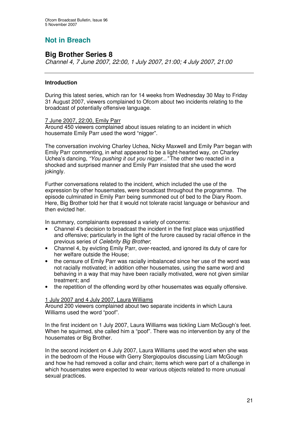## **Not in Breach**

## **Big Brother Series 8**

*Channel 4, 7 June 2007, 22:00, 1 July 2007, 21:00; 4 July 2007, 21:00*

#### **Introduction**

During this latest series, which ran for 14 weeks from Wednesday 30 May to Friday 31 August 2007, viewers complained to Ofcom about two incidents relating to the broadcast of potentially offensive language.

#### 7 June 2007, 22:00, Emily Parr

Around 450 viewers complained about issues relating to an incident in which housemate Emily Parr used the word "nigger".

The conversation involving Charley Uchea, Nicky Maxwell and Emily Parr began with Emily Parr commenting, in what appeared to be a light-hearted way, on Charley Uchea's dancing, *"You pushing it out you nigger..."* The other two reacted in a shocked and surprised manner and Emily Parr insisted that she used the word jokingly*.*

Further conversations related to the incident, which included the use of the expression by other housemates, were broadcast throughout the programme. The episode culminated in Emily Parr being summoned out of bed to the Diary Room. Here, Big Brother told her that it would not tolerate racist language or behaviour and then evicted her.

In summary, complainants expressed a variety of concerns:

- Channel 4's decision to broadcast the incident in the first place was unjustified and offensive; particularly in the light of the furore caused by racial offence in the previous series of *Celebrity Big Brother*;
- Channel 4, by evicting Emily Parr, over-reacted, and ignored its duty of care for her welfare outside the House;
- the censure of Emily Parr was racially imbalanced since her use of the word was not racially motivated; in addition other housemates, using the same word and behaving in a way that may have been racially motivated, were not given similar treatment; and
- the repetition of the offending word by other housemates was equally offensive.

#### 1 July 2007 and 4 July 2007, Laura Williams

Around 200 viewers complained about two separate incidents in which Laura Williams used the word "poof".

In the first incident on 1 July 2007, Laura Williams was tickling Liam McGough's feet. When he squirmed, she called him a "poof". There was no intervention by any of the housemates or Big Brother.

In the second incident on 4 July 2007, Laura Williams used the word when she was in the bedroom of the House with Gerry Stergiopoulos discussing Liam McGough and how he had removed a collar and chain; items which were part of a challenge in which housemates were expected to wear various objects related to more unusual sexual practices.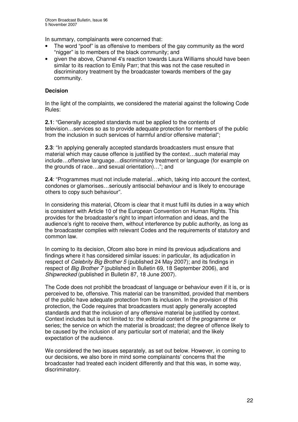In summary, complainants were concerned that:

- The word "poof" is as offensive to members of the gay community as the word "nigger" is to members of the black community; and
- given the above, Channel 4's reaction towards Laura Williams should have been similar to its reaction to Emily Parr; that this was not the case resulted in discriminatory treatment by the broadcaster towards members of the gay community.

#### **Decision**

In the light of the complaints, we considered the material against the following Code Rules:

**2.1**: "Generally accepted standards must be applied to the contents of television…services so as to provide adequate protection for members of the public from the inclusion in such services of harmful and/or offensive material";

**2.3**: "In applying generally accepted standards broadcasters must ensure that material which may cause offence is justified by the context…such material may include…offensive language…discriminatory treatment or language (for example on the grounds of race…and sexual orientation)…"; and

**2.4**: "Programmes must not include material…which, taking into account the context, condones or glamorises…seriously antisocial behaviour and is likely to encourage others to copy such behaviour".

In considering this material, Ofcom is clear that it must fulfil its duties in a way which is consistent with Article 10 of the European Convention on Human Rights. This provides for the broadcaster's right to impart information and ideas, and the audience's right to receive them, without interference by public authority, as long as the broadcaster complies with relevant Codes and the requirements of statutory and common law.

In coming to its decision, Ofcom also bore in mind its previous adjudications and findings where it has considered similar issues: in particular, its adjudication in respect of *Celebrity Big Brother 5* (published 24 May 2007); and its findings in respect of *Big Brother 7* (published in Bulletin 69, 18 September 2006), and *Shipwrecked* (published in Bulletin 87, 18 June 2007).

The Code does not prohibit the broadcast of language or behaviour even if it is, or is perceived to be, offensive. This material can be transmitted, provided that members of the public have adequate protection from its inclusion. In the provision of this protection, the Code requires that broadcasters must apply generally accepted standards and that the inclusion of any offensive material be justified by context. Context includes but is not limited to: the editorial content of the programme or series; the service on which the material is broadcast; the degree of offence likely to be caused by the inclusion of any particular sort of material; and the likely expectation of the audience.

We considered the two issues separately, as set out below. However, in coming to our decisions, we also bore in mind some complainants' concerns that the broadcaster had treated each incident differently and that this was, in some way, discriminatory.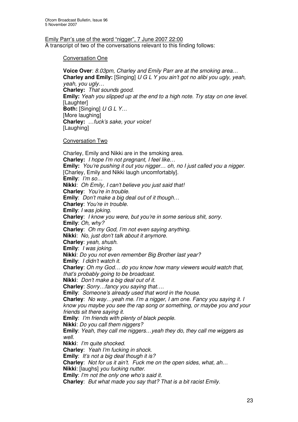#### Emily Parr's use of the word "nigger", 7 June 2007 22:00 A transcript of two of the conversations relevant to this finding follows:

#### Conversation One

**Voice Over**: *8.03pm, Charley and Emily Parr are at the smoking area…* **Charley and Emily:** [Singing] *U G L Y you ain't got no alibi you ugly, yeah, yeah, you ugly…* **Charley:** *That sounds good.* **Emily:** *Yeah you slipped up at the end to a high note. Try stay on one level.* **[Laughter] Both:** [Singing] *U G L Y…* [More laughing] **Charley:** *…fuck's sake, your voice!* [Laughing]

#### Conversation Two

Charley, Emily and Nikki are in the smoking area. **Charley:** *I hope I'm not pregnant, I feel like…* **Emily:** *You're pushing it out you nigger… oh, no I just called you a nigger.* [Charley, Emily and Nikki laugh uncomfortably]. **Emily**: *I'm so…* **Nikki**: *Oh Emily, I can't believe you just said that!* **Charley**: *You're in trouble.* **Emily**: *Don't make a big deal out of it though…* **Charley**: *You're in trouble.* **Emily**: *I was joking.* **Charley**: *I know you were, but you're in some serious shit, sorry.* **Emily**: *Oh, why?* **Charley**: *Oh my God, I'm not even saying anything.* **Nikki**: *No, just don't talk about it anymore.* **Charley**: *yeah, shush.* **Emily**: *I was joking.* **Nikki**: *Do you not even remember Big Brother last year?* **Emily**: *I didn't watch it.* **Charley**: *Oh my God… do you know how many viewers would watch that, that's probably going to be broadcast.* **Nikki**: *Don't make a big deal out of it.* **Charley**: *Sorry…fancy you saying that….* **Emily**: *Someone's already used that word in the house.* **Charley**: *No way…yeah me. I'm a nigger, I am one. Fancy you saying it. I know you maybe you see the rap song or something, or maybe you and your friends sit there saying it.* **Emily**: *I'm friends with plenty of black people.* **Nikki**: *Do you call them niggers?* **Emily**: *Yeah, they call me niggers…yeah they do, they call me wiggers as well.* **Nikki**: *I'm quite shocked.* **Charley**: *Yeah I'm fucking in shock.* **Emily**: *It's not a big deal though it is?* **Charley**: *Not for us it ain't. Fuck me on the open sides, what, ah…* **Nikki**: [laughs] *you fucking nutter.*

**Emily**: *I'm not the only one who's said it.*

**Charley**: *But what made you say that? That is a bit racist Emily.*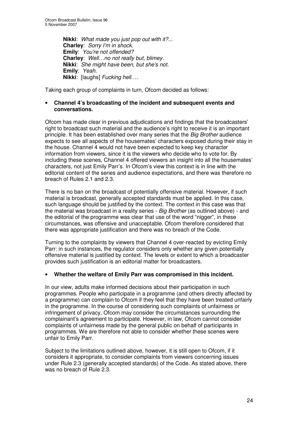**Nikki**: *What made you just pop out with it?...* **Charley**: *Sorry I'm in shock.* **Emily**: *You're not offended?* **Charley**: *Well…no not really but, blimey.* **Nikki**: *She might have been, but she's not.* **Emily**: *Yeah.* **Nikki**: [laughs] *Fucking hell….*

Taking each group of complaints in turn, Ofcom decided as follows:

#### • **Channel 4's broadcasting of the incident and subsequent events and conversations.**

Ofcom has made clear in previous adjudications and findings that the broadcasters' right to broadcast such material and the audience's right to receive it is an important principle. It has been established over many series that the *Big Brother* audience expects to see all aspects of the housemates' characters exposed during their stay in the house. Channel 4 would not have been expected to keep key character information from viewers, since it is the viewers who decide who to vote for. By including these scenes, Channel 4 offered viewers an insight into all the housemates' characters, not just Emily Parr's. In Ofcom's view this context is in line with the editorial content of the series and audience expectations, and there was therefore no breach of Rules 2.1 and 2.3.

There is no ban on the broadcast of potentially offensive material. However, if such material is broadcast, generally accepted standards must be applied. In this case, such language should be justified by the context. The context in this case was that the material was broadcast in a reality series - *Big Brother* (as outlined above) - and the editorial of the programme was clear that use of the word "nigger", in these circumstances, was offensive and unacceptable. Ofcom therefore considered that there was appropriate justification and there was no breach of the Code.

Turning to the complaints by viewers that Channel 4 over-reacted by evicting Emily Parr: in such instances, the regulator considers only whether any given potentially offensive material is justified by context. The levels or extent to which a broadcaster provides such justification is an editorial matter for broadcasters.

#### • **Whether the welfare of Emily Parr was compromised in this incident.**

In our view, adults make informed decisions about their participation in such programmes. People who participate in a programme (and others directly affected by a programme) can complain to Ofcom if they feel that they have been treated unfairly in the programme. In the course of considering such complaints of unfairness or infringement of privacy, Ofcom may consider the circumstances surrounding the complainant's agreement to participate. However, in law, Ofcom cannot consider complaints of unfairness made by the general public on behalf of participants in programmes. We are therefore not able to consider whether these scenes were unfair to Emily Parr.

Subject to the limitations outlined above, however, it is still open to Ofcom, if it considers it appropriate, to consider complaints from viewers concerning issues under Rule 2.3 (generally accepted standards) of the Code. As stated above, there was no breach of Rule 2.3.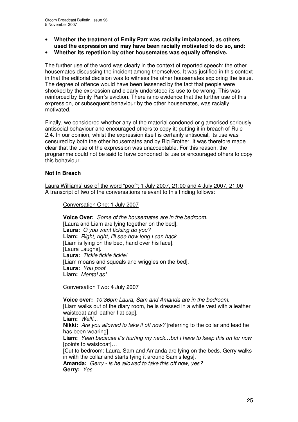- **Whether the treatment of Emily Parr was racially imbalanced, as others used the expression and may have been racially motivated to do so, and:**
- **Whether its repetition by other housemates was equally offensive.**

The further use of the word was clearly in the context of reported speech: the other housemates discussing the incident among themselves. It was justified in this context in that the editorial decision was to witness the other housemates exploring the issue. The degree of offence would have been lessened by the fact that people were shocked by the expression and clearly understood its use to be wrong. This was reinforced by Emily Parr's eviction. There is no evidence that the further use of this expression, or subsequent behaviour by the other housemates, was racially motivated.

Finally, we considered whether any of the material condoned or glamorised seriously antisocial behaviour and encouraged others to copy it; putting it in breach of Rule 2.4. In our opinion, whilst the expression itself is certainly antisocial, its use was censured by both the other housemates and by Big Brother. It was therefore made clear that the use of the expression was unacceptable. For this reason, the programme could not be said to have condoned its use or encouraged others to copy this behaviour.

#### **Not in Breach**

Laura Williams' use of the word "poof"; 1 July 2007, 21:00 and 4 July 2007, 21:00 A transcript of two of the conversations relevant to this finding follows:

Conversation One: 1 July 2007

**Voice Over:** *Some of the housemates are in the bedroom.* [Laura and Liam are lying together on the bed]. **Laura:** *O you want tickling do you?* **Liam:** *Right, right, I'll see how long I can hack.* [Liam is lying on the bed, hand over his face]. [Laura Laughs]. **Laura:** *Tickle tickle tickle!* [Liam moans and squeals and wriggles on the bed]. **Laura:** *You poof.* **Liam:** *Mental as!*

Conversation Two: 4 July 2007

**Voice over:** *10:36pm Laura, Sam and Amanda are in the bedroom.* [Liam walks out of the diary room, he is dressed in a white vest with a leather waistcoat and leather flat cap]. **Liam:** *Well!...* **Nikki:** *Are you allowed to take it off now?* [referring to the collar and lead he has been wearing]. **Liam:** *Yeah because it's hurting my neck…but I have to keep this on for now* [points to waistcoat]… [Cut to bedroom: Laura, Sam and Amanda are lying on the beds. Gerry walks in with the collar and starts tying it around Sam's legs]. **Amanda:** *Gerry - is he allowed to take this off now, yes?*

**Gerry:** *Yes.*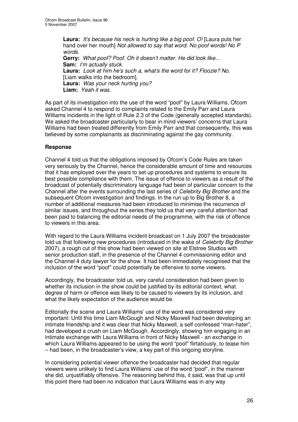**Laura:** *It's because his neck is hurting like a big poof. O!* [Laura puts her hand over her mouth] *Not allowed to say that word. No poof words! No P words.* **Gerry:** *What poof? Poof. Oh it doesn't matter. He did look like…* **Sam:** *I'm actually stuck.* **Laura:** *Look at him he's such a, what's the word for it? Floozie? No.* [Liam walks into the bedroom]. **Laura:** *Was your neck hurting you?* **Liam:** *Yeah it was.*

As part of its investigation into the use of the word "poof" by Laura Williams, Ofcom asked Channel 4 to respond to complaints related to the Emily Parr and Laura Williams incidents in the light of Rule 2.3 of the Code (generally accepted standards). We asked the broadcaster particularly to bear in mind viewers' concerns that Laura Williams had been treated differently from Emily Parr and that consequently, this was believed by some complainants as discriminating against the gay community.

#### **Response**

Channel 4 told us that the obligations imposed by Ofcom's Code Rules are taken very seriously by the Channel, hence the considerable amount of time and resources that it has employed over the years to set up procedures and systems to ensure its best possible compliance with them. The issue of offence to viewers as a result of the broadcast of potentially discriminatory language had been of particular concern to the Channel after the events surrounding the last series of *Celebrity Big Brother* and the subsequent Ofcom investigation and findings. In the run up to Big Brother 8, a number of additional measures had been introduced to minimise the recurrence of similar issues, and throughout the series they told us that very careful attention had been paid to balancing the editorial needs of the programme, with the risk of offence to viewers in this area.

With regard to the Laura Williams incident broadcast on 1 July 2007 the broadcaster told us that following new procedures (introduced in the wake of *Celebrity Big Brother* 2007), a rough cut of this show had been viewed on site at Elstree Studios with senior production staff, in the presence of the Channel 4 commissioning editor and the Channel 4 duty lawyer for the show. It had been immediately recognised that the inclusion of the word "poof" could potentially be offensive to some viewers.

Accordingly, the broadcaster told us, very careful consideration had been given to whether its inclusion in the show could be justified by its editorial context, what degree of harm or offence was likely to be caused to viewers by its inclusion, and what the likely expectation of the audience would be.

Editorially the scene and Laura Williams' use of the word was considered very important: Until this time Liam McGough and Nicky Maxwell had been developing an intimate friendship and it was clear that Nicky Maxwell, a self confessed "man-hater", had developed a crush on Liam McGough. Accordingly, showing him engaging in an intimate exchange with Laura Williams in front of Nicky Maxwell - an exchange in which Laura Williams appeared to be using the word "poof" flirtatiously, to tease him – had been, in the broadcaster's view, a key part of this ongoing storyline.

In considering potential viewer offence the broadcaster had decided that regular viewers were unlikely to find Laura Williams' use of the word "poof", in the manner she did, unjustifiably offensive. The reasoning behind this, it said, was that up until this point there had been no indication that Laura Williams was in any way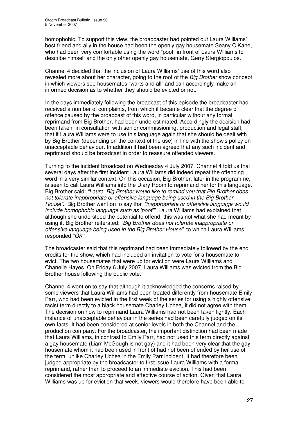homophobic. To support this view, the broadcaster had pointed out Laura Williams' best friend and ally in the house had been the openly gay housemate Seany O'Kane, who had been very comfortable using the word "poof" in front of Laura Williams to describe himself and the only other openly gay housemate, Gerry Stergiopoulos.

Channel 4 decided that the inclusion of Laura Williams' use of this word also revealed more about her character, going to the root of the *Big Brother* show concept in which viewers see housemates "warts and all" and can accordingly make an informed decision as to whether they should be evicted or not.

In the days immediately following the broadcast of this episode the broadcaster had received a number of complaints, from which it became clear that the degree of offence caused by the broadcast of this word, in particular without any formal reprimand from Big Brother, had been underestimated. Accordingly the decision had been taken, in consultation with senior commissioning, production and legal staff, that if Laura Williams were to use this language again that she should be dealt with by Big Brother (depending on the context of the use) in line with the show's policy on unacceptable behaviour. In addition it had been agreed that any such incident and reprimand should be broadcast in order to reassure offended viewers.

Turning to the incident broadcast on Wednesday 4 July 2007, Channel 4 told us that several days after the first incident Laura Williams did indeed repeat the offending word in a very similar context. On this occasion, Big Brother, later in the programme, is seen to call Laura Williams into the Diary Room to reprimand her for this language. Big Brother said: *"Laura, Big Brother would like to remind you that Big Brother does not tolerate inappropriate or offensive language being used in the Big Brother House".* Big Brother went on to say that *"inappropriate or offensive language would include homophobic language such as 'poof'".* Laura Williams had explained that although she understood the potential to offend, this was not what she had meant by using it. Big Brother reiterated: *"Big Brother does not tolerate inappropriate or offensive language being used in the Big Brother House"*, to which Laura Williams responded *"OK".*

The broadcaster said that this reprimand had been immediately followed by the end credits for the show, which had included an invitation to vote for a housemate to evict. The two housemates that were up for eviction were Laura Williams and Chanelle Hayes. On Friday 6 July 2007, Laura Williams was evicted from the Big Brother house following the public vote.

Channel 4 went on to say that although it acknowledged the concerns raised by some viewers that Laura Williams had been treated differently from housemate Emily Parr, who had been evicted in the first week of the series for using a highly offensive racist term directly to a black housemate Charley Uchea, it did not agree with them. The decision on how to reprimand Laura Williams had not been taken lightly. Each instance of unacceptable behaviour in the series had been carefully judged on its own facts. It had been considered at senior levels in both the Channel and the production company. For the broadcaster, the important distinction had been made that Laura Williams, in contrast to Emily Parr, had not used this term directly against a gay housemate (Liam McGough is not gay) and it had been very clear that the gay housemate whom it had been used in front of had not been offended by her use of the term, unlike Charley Uchea in the Emily Parr incident. It had therefore been judged appropriate by the broadcaster to first issue Laura Williams with a formal reprimand, rather than to proceed to an immediate eviction. This had been considered the most appropriate and effective course of action. Given that Laura Williams was up for eviction that week, viewers would therefore have been able to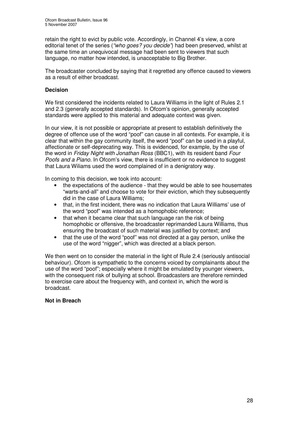retain the right to evict by public vote. Accordingly, in Channel 4's view, a core editorial tenet of the series (*"who goes? you decide"*) had been preserved, whilst at the same time an unequivocal message had been sent to viewers that such language, no matter how intended, is unacceptable to Big Brother.

The broadcaster concluded by saying that it regretted any offence caused to viewers as a result of either broadcast.

#### **Decision**

We first considered the incidents related to Laura Williams in the light of Rules 2.1 and 2.3 (generally accepted standards). In Ofcom's opinion, generally accepted standards were applied to this material and adequate context was given.

In our view, it is not possible or appropriate at present to establish definitively the degree of offence use of the word "poof" can cause in all contexts. For example, it is clear that within the gay community itself, the word "poof" can be used in a playful, affectionate or self-deprecating way. This is evidenced, for example, by the use of the word in *Friday Night with Jonathan Ross* (BBC1), with its resident band *Four Poofs and a Piano.* In Ofcom's view, there is insufficient or no evidence to suggest that Laura Wiliams used the word complained of in a denigratory way.

In coming to this decision, we took into account:

- the expectations of the audience that they would be able to see housemates "warts-and-all" and choose to vote for their eviction, which they subsequently did in the case of Laura Williams;
- that, in the first incident, there was no indication that Laura Williams' use of the word "poof" was intended as a homophobic reference;
- that when it became clear that such language ran the risk of being homophobic or offensive, the broadcaster reprimanded Laura Williams, thus ensuring the broadcast of such material was justified by context; and
- that the use of the word "poof" was not directed at a gay person, unlike the use of the word "nigger", which was directed at a black person.

We then went on to consider the material in the light of Rule 2.4 (seriously antisocial behaviour). Ofcom is sympathetic to the concerns voiced by complainants about the use of the word "poof"; especially where it might be emulated by younger viewers, with the consequent risk of bullying at school. Broadcasters are therefore reminded to exercise care about the frequency with, and context in, which the word is broadcast.

#### **Not in Breach**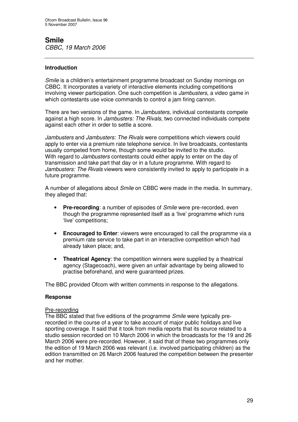## **Smile**

*CBBC, 19 March 2006*

#### **Introduction**

*Smile* is a children's entertainment programme broadcast on Sunday mornings on CBBC. It incorporates a variety of interactive elements including competitions involving viewer participation. One such competition is *Jambusters*, a video game in which contestants use voice commands to control a jam firing cannon.

There are two versions of the game. In *Jambusters*, individual contestants compete against a high score. In *Jambusters: The Rivals*, two connected individuals compete against each other in order to settle a score.

*Jambusters* and *Jambusters: The Rivals* were competitions which viewers could apply to enter via a premium rate telephone service. In live broadcasts, contestants usually competed from home, though some would be invited to the studio. With regard to *Jambusters* contestants could either apply to enter on the day of transmission and take part that day or in a future programme. With regard to *Jambusters: The Rivals* viewers were consistently invited to apply to participate in a future programme.

A number of allegations about *Smile* on CBBC were made in the media. In summary, they alleged that:

- **Pre-recording**: a number of episodes of *Smile* were pre-recorded, even though the programme represented itself as a 'live' programme which runs 'live' competitions;
- **Encouraged to Enter**: viewers were encouraged to call the programme via a premium rate service to take part in an interactive competition which had already taken place; and,
- **Theatrical Agency**: the competition winners were supplied by a theatrical agency (Stagecoach), were given an unfair advantage by being allowed to practise beforehand, and were guaranteed prizes.

The BBC provided Ofcom with written comments in response to the allegations.

#### **Response**

#### Pre-recording

The BBC stated that five editions of the programme *Smile* were typically prerecorded in the course of a year to take account of major public holidays and live sporting coverage. It said that it took from media reports that its source related to a studio session recorded on 10 March 2006 in which the broadcasts for the 19 and 26 March 2006 were pre-recorded. However, it said that of these two programmes only the edition of 19 March 2006 was relevant (i.e. involved participating children) as the edition transmitted on 26 March 2006 featured the competition between the presenter and her mother.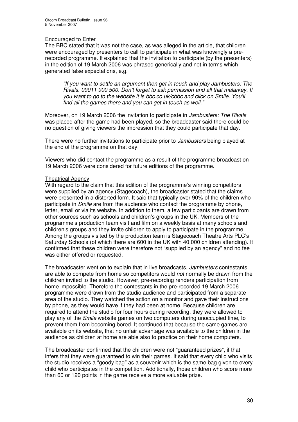#### Encouraged to Enter

The BBC stated that it was not the case, as was alleged in the article, that children were encouraged by presenters to call to participate in what was knowingly a prerecorded programme. It explained that the invitation to participate (by the presenters) in the edition of 19 March 2006 was phrased generically and not in terms which generated false expectations, e.g.

*"If you want to settle an argument then get in touch and play Jambusters: The Rivals. 09011 900 500. Don't forget to ask permission and all that malarkey. If you want to go to the website it is bbc.co.uk/cbbc and click on Smile. You'll find all the games there and you can get in touch as well."*

Moreover, on 19 March 2006 the invitation to participate in *Jambusters: The Rivals* was placed after the game had been played, so the broadcaster said there could be no question of giving viewers the impression that they could participate that day.

There were no further invitations to participate prior to *Jambusters* being played at the end of the programme on that day.

Viewers who did contact the programme as a result of the programme broadcast on 19 March 2006 were considered for future editions of the programme.

#### Theatrical Agency

With regard to the claim that this edition of the programme's winning competitors were supplied by an agency (Stagecoach), the broadcaster stated that the claims were presented in a distorted form. It said that typically over 90% of the children who participate in *Smile* are from the audience who contact the programme by phone, letter, email or via its website. In addition to them, a few participants are drawn from other sources such as schools and children's groups in the UK. Members of the programme's production team visit and film on a weekly basis at many schools and children's groups and they invite children to apply to participate in the programme. Among the groups visited by the production team is Stagecoach Theatre Arts PLC's Saturday Schools (of which there are 600 in the UK with 40,000 children attending). It confirmed that these children were therefore not "supplied by an agency" and no fee was either offered or requested.

The broadcaster went on to explain that in live broadcasts, *Jambusters* contestants are able to compete from home so competitors would *not* normally be drawn from the children invited to the studio. However, pre-recording renders participation from home impossible. Therefore the contestants in the pre-recorded 19 March 2006 programme were drawn from the studio audience and participated from a separate area of the studio. They watched the action on a monitor and gave their instructions by phone, as they would have if they had been at home. Because children are required to attend the studio for four hours during recording, they were allowed to play any of the *Smile* website games on two computers during unoccupied time, to prevent them from becoming bored. It continued that because the same games are available on its website, that no unfair advantage was available to the children in the audience as children at home are able also to practice on their home computers.

The broadcaster confirmed that the children were not "guaranteed prizes", if that infers that they were guaranteed to win their games. It said that every child who visits the studio receives a "goody bag" as a souvenir which is the same bag given to every child who participates in the competition. Additionally, those children who score more than 60 or 120 points in the game receive a more valuable prize.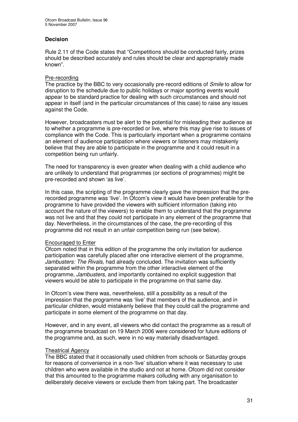#### **Decision**

Rule 2.11 of the Code states that "Competitions should be conducted fairly, prizes should be described accurately and rules should be clear and appropriately made known".

#### Pre-recording

The practice by the BBC to very occasionally pre-record editions of *Smile* to allow for disruption to the schedule due to public holidays or major sporting events would appear to be standard practice for dealing with such circumstances and should not appear in itself (and in the particular circumstances of this case) to raise any issues against the Code.

However, broadcasters must be alert to the potential for misleading their audience as to whether a programme is pre-recorded or live, where this may give rise to issues of compliance with the Code. This is particularly important when a programme contains an element of audience participation where viewers or listeners may mistakenly believe that they are able to participate in the programme and it could result in a competition being run unfairly.

The need for transparency is even greater when dealing with a child audience who are unlikely to understand that programmes (or sections of programmes) might be pre-recorded and shown 'as live'.

In this case, the scripting of the programme clearly gave the impression that the prerecorded programme was 'live'. In Ofcom's view it would have been preferable for the programme to have provided the viewers with sufficient information (taking into account the nature of the viewers) to enable them to understand that the programme was not live and that they could not participate in any element of the programme that day. Nevertheless, in the circumstances of the case, the pre-recording of this programme did not result in an unfair competition being run (see below).

#### Encouraged to Enter

Ofcom noted that in this edition of the programme the only invitation for audience participation was carefully placed after one interactive element of the programme, *Jambusters: The Rivals*, had already concluded. The invitation was sufficiently separated within the programme from the other interactive element of the programme, *Jambusters,* and importantly contained no explicit suggestion that viewers would be able to participate in the programme on that same day.

In Ofcom's view there was, nevertheless, still a possibility as a result of the impression that the programme was 'live' that members of the audience, and in particular children, would mistakenly believe that they could call the programme and participate in some element of the programme on that day.

However, and in any event, all viewers who did contact the programme as a result of the programme broadcast on 19 March 2006 were considered for future editions of the programme and, as such, were in no way materially disadvantaged.

#### Theatrical Agency

The BBC stated that it occasionally used children from schools or Saturday groups for reasons of convenience in a non-'live' situation where it was necessary to use children who were available in the studio and not at home. Ofcom did not consider that this amounted to the programme makers colluding with any organisation to deliberately deceive viewers or exclude them from taking part. The broadcaster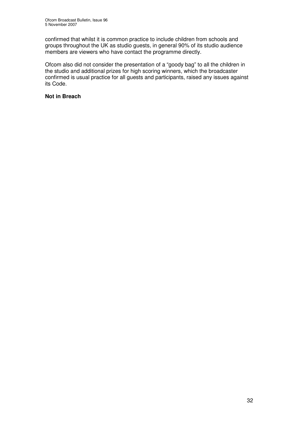confirmed that whilst it is common practice to include children from schools and groups throughout the UK as studio guests, in general 90% of its studio audience members are viewers who have contact the programme directly.

Ofcom also did not consider the presentation of a "goody bag" to all the children in the studio and additional prizes for high scoring winners, which the broadcaster confirmed is usual practice for all guests and participants, raised any issues against its Code.

#### **Not in Breach**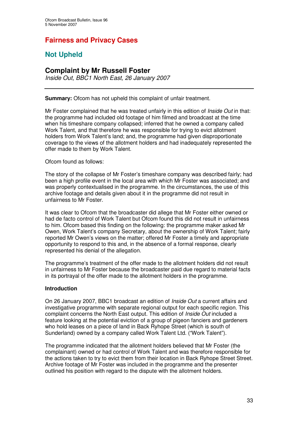## **Fairness and Privacy Cases**

## **Not Upheld**

#### **Complaint by Mr Russell Foster**

*Inside Out, BBC1 North East, 26 January 2007*

**Summary:** Ofcom has not upheld this complaint of unfair treatment.

Mr Foster complained that he was treated unfairly in this edition of *Inside Out* in that: the programme had included old footage of him filmed and broadcast at the time when his timeshare company collapsed; inferred that he owned a company called Work Talent, and that therefore he was responsible for trying to evict allotment holders from Work Talent's land; and, the programme had given disproportionate coverage to the views of the allotment holders and had inadequately represented the offer made to them by Work Talent.

#### Ofcom found as follows:

The story of the collapse of Mr Foster's timeshare company was described fairly; had been a high profile event in the local area with which Mr Foster was associated; and was properly contextualised in the programme. In the circumstances, the use of this archive footage and details given about it in the programme did not result in unfairness to Mr Foster.

It was clear to Ofcom that the broadcaster did allege that Mr Foster either owned or had de facto control of Work Talent but Ofcom found this did not result in unfairness to him. Ofcom based this finding on the following: the programme maker asked Mr Owen, Work Talent's company Secretary, about the ownership of Work Talent; fairly reported Mr Owen's views on the matter; offered Mr Foster a timely and appropriate opportunity to respond to this and, in the absence of a formal response, clearly represented his denial of the allegation.

The programme's treatment of the offer made to the allotment holders did not result in unfairness to Mr Foster because the broadcaster paid due regard to material facts in its portrayal of the offer made to the allotment holders in the programme.

#### **Introduction**

On 26 January 2007, BBC1 broadcast an edition of *Inside Out* a current affairs and investigative programme with separate regional output for each specific region. This complaint concerns the North East output. This edition of *Inside Out* included a feature looking at the potential eviction of a group of pigeon fanciers and gardeners who hold leases on a piece of land in Back Ryhope Street (which is south of Sunderland) owned by a company called Work Talent Ltd. ("Work Talent").

The programme indicated that the allotment holders believed that Mr Foster (the complainant) owned or had control of Work Talent and was therefore responsible for the actions taken to try to evict them from their location in Back Ryhope Street Street. Archive footage of Mr Foster was included in the programme and the presenter outlined his position with regard to the dispute with the allotment holders.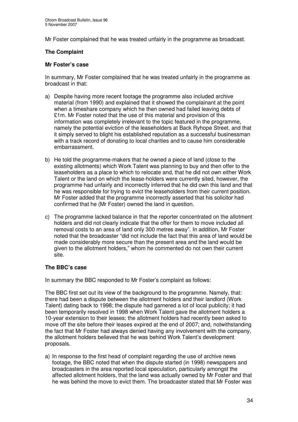Mr Foster complained that he was treated unfairly in the programme as broadcast.

#### **The Complaint**

#### **Mr Foster's case**

In summary, Mr Foster complained that he was treated unfairly in the programme as broadcast in that:

- a) Despite having more recent footage the programme also included archive material (from 1990) and explained that it showed the complainant at the point when a timeshare company which he then owned had failed leaving debts of £1m. Mr Foster noted that the use of this material and provision of this information was completely irrelevant to the topic featured in the programme, namely the potential eviction of the leaseholders at Back Ryhope Street, and that it simply served to blight his established reputation as a successful businessman with a track record of donating to local charities and to cause him considerable embarrassment.
- b) He told the programme-makers that he owned a piece of land (close to the existing allotments) which Work Talent was planning to buy and then offer to the leaseholders as a place to which to relocate and, that he did not own either Work Talent or the land on which the lease-holders were currently sited, however, the programme had unfairly and incorrectly inferred that he did own this land and that he was responsible for trying to evict the leaseholders from their current position. Mr Foster added that the programme incorrectly asserted that his solicitor had confirmed that he (Mr Foster) owned the land in question.
- c) The programme lacked balance in that the reporter concentrated on the allotment holders and did not clearly indicate that the offer for them to move included all removal costs to an area of land only 300 metres away". In addition, Mr Foster noted that the broadcaster "did not include the fact that this area of land would be made considerably more secure than the present area and the land would be given to the allotment holders," whom he commented do not own their current site.

#### **The BBC's case**

In summary the BBC responded to Mr Foster's complaint as follows:

The BBC first set out its view of the background to the programme. Namely, that: there had been a dispute between the allotment holders and their landlord (Work Talent) dating back to 1998; the dispute had garnered a lot of local publicity; it had been temporarily resolved in 1998 when Work Talent gave the allotment holders a 10-year extension to their leases; the allotment holders had recently been asked to move off the site before their leases expired at the end of 2007; and, notwithstanding the fact that Mr Foster had always denied having any involvement with the company, the allotment holders believed that he was behind Work Talent's development proposals.

a) In response to the first head of complaint regarding the use of archive news footage, the BBC noted that when the dispute started (in 1998) newspapers and broadcasters in the area reported local speculation, particularly amongst the affected allotment holders, that the land was actually owned by Mr Foster and that he was behind the move to evict them. The broadcaster stated that Mr Foster was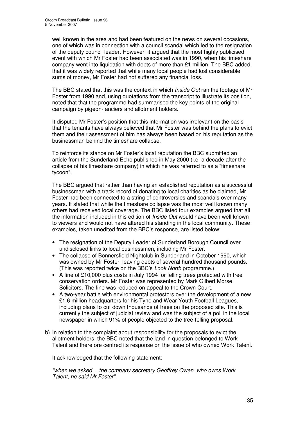well known in the area and had been featured on the news on several occasions, one of which was in connection with a council scandal which led to the resignation of the deputy council leader. However, it argued that the most highly publicised event with which Mr Foster had been associated was in 1990, when his timeshare company went into liquidation with debts of more than £1 million. The BBC added that it was widely reported that while many local people had lost considerable sums of money, Mr Foster had not suffered any financial loss.

The BBC stated that this was the context in which *Inside Out* ran the footage of Mr Foster from 1990 and, using quotations from the transcript to illustrate its position, noted that that the programme had summarised the key points of the original campaign by pigeon-fanciers and allotment holders.

It disputed Mr Foster's position that this information was irrelevant on the basis that the tenants have always believed that Mr Foster was behind the plans to evict them and their assessment of him has always been based on his reputation as the businessman behind the timeshare collapse.

To reinforce its stance on Mr Foster's local reputation the BBC submitted an article from the Sunderland Echo published in May 2000 (i.e. a decade after the collapse of his timeshare company) in which he was referred to as a "timeshare tycoon".

The BBC argued that rather than having an established reputation as a successful businessman with a track record of donating to local charities as he claimed, Mr Foster had been connected to a string of controversies and scandals over many years. It stated that while the timeshare collapse was the most well known many others had received local coverage. The BBC listed four examples argued that all the information included in this edition of *Inside Out* would have been well known to viewers and would not have altered his standing in the local community. These examples, taken unedited from the BBC's response, are listed below:

- The resignation of the Deputy Leader of Sunderland Borough Council over undisclosed links to local businessmen, including Mr Foster.
- The collapse of Bonnersfield Nightclub in Sunderland in October 1990, which was owned by Mr Foster, leaving debts of several hundred thousand pounds. (This was reported twice on the BBC's *Look North* programme.)
- A fine of £10,000 plus costs in July 1994 for felling trees protected with tree conservation orders. Mr Foster was represented by Mark Gilbert Morse Solicitors. The fine was reduced on appeal to the Crown Court.
- A two-year battle with environmental protestors over the development of a new £1.6 million headquarters for his Tyne and Wear Youth Football Leagues, including plans to cut down thousands of trees on the proposed site. This is currently the subject of judicial review and was the subject of a poll in the local newspaper in which 91% of people objected to the tree-felling proposal.
- b) In relation to the complaint about responsibility for the proposals to evict the allotment holders, the BBC noted that the land in question belonged to Work Talent and therefore centred its response on the issue of who owned Work Talent.

It acknowledged that the following statement:

*"when we asked… the company secretary Geoffrey Owen, who owns Work Talent, he said Mr Foster"*,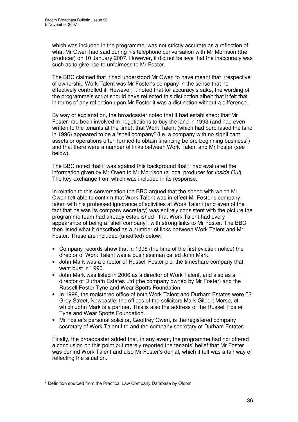which was included in the programme, was not strictly accurate as a reflection of what Mr Owen had said during his telephone conversation with Mr Morrison (the producer) on 10 January 2007. However, it did not believe that the inaccuracy was such as to give rise to unfairness to Mr Foster.

The BBC claimed that it had understood Mr Owen to have meant that irrespective of ownership Work Talent was Mr Foster's company in the sense that he effectively controlled it. However, it noted that for accuracy's sake, the wording of the programme's script should have reflected this distinction albeit that it felt that in terms of any reflection upon Mr Foster it was a distinction without a difference.

By way of explanation, the broadcaster noted that it had established: that Mr Foster had been involved in negotiations to buy the land in 1993 (and had even written to the tenants at the time); that Work Talent (which had purchased the land in 1996) appeared to be a "shell company" (i.e. a company with no significant assets or operations often formed to obtain financing before beginning business<sup>3</sup>) and that there were a number of links between Work Talent and Mr Foster (see below).

The BBC noted that it was against this background that it had evaluated the information given by Mr Owen to Mr Morrison (a local producer for *Inside Out*). The key exchange from which was included in its response.

In relation to this conversation the BBC argued that the speed with which Mr Owen felt able to confirm that Work Talent was in effect Mr Foster's company, taken with his professed ignorance of activities at Work Talent (and even of the fact that he was its company secretary) was entirely consistent with the picture the programme team had already established - that Work Talent had every appearance of being a "shell company", with strong links to Mr Foster. The BBC then listed what it described as a number of links between Work Talent and Mr Foster. These are included (unedited) below:

- Company records show that in 1998 (the time of the first eviction notice) the director of Work Talent was a businessman called John Mark.
- John Mark was a director of Russell Foster plc, the timeshare company that went bust in 1990.
- John Mark was listed in 2006 as a director of Work Talent, and also as a director of Durham Estates Ltd (the company owned by Mr Foster) and the Russell Foster Tyne and Wear Sports Foundation.
- In 1998, the registered office of both Work Talent and Durham Estates were 53 Grey Street, Newcastle, the offices of the solicitors Mark Gilbert Morse, of which John Mark is a partner. This is also the address of the Russell Foster Tyne and Wear Sports Foundation.
- Mr Foster's personal solicitor, Geoffrey Owen, is the registered company secretary of Work Talent Ltd and the company secretary of Durham Estates.

Finally, the broadcaster added that, in any event, the programme had not offered a conclusion on this point but merely reported the tenants' belief that Mr Foster was behind Work Talent and also Mr Foster's denial, which it felt was a fair way of reflecting the situation.

<sup>&</sup>lt;sup>3</sup> Definition sourced from the Practical Law Company Database by Ofcom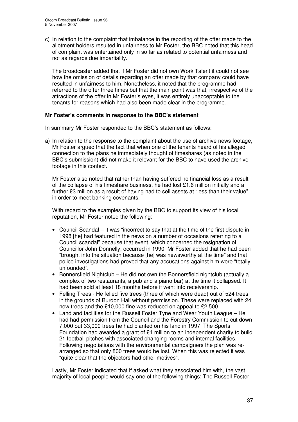c) In relation to the complaint that imbalance in the reporting of the offer made to the allotment holders resulted in unfairness to Mr Foster, the BBC noted that this head of complaint was entertained only in so far as related to potential unfairness and not as regards due impartiality.

The broadcaster added that if Mr Foster did not own Work Talent it could not see how the omission of details regarding an offer made by that company could have resulted in unfairness to him. Nonetheless, it noted that the programme had referred to the offer three times but that the main point was that, irrespective of the attractions of the offer in Mr Foster's eyes, it was entirely unacceptable to the tenants for reasons which had also been made clear in the programme.

#### **Mr Foster's comments in response to the BBC's statement**

In summary Mr Foster responded to the BBC's statement as follows:

a) In relation to the response to the complaint about the use of archive news footage, Mr Foster argued that the fact that when one of the tenants heard of his alleged connection to the plans he immediately thought of timeshares (as noted in the BBC's submission) did not make it relevant for the BBC to have used the archive footage in this context.

Mr Foster also noted that rather than having suffered no financial loss as a result of the collapse of his timeshare business, he had lost £1.6 million initially and a further £3 million as a result of having had to sell assets at "less than their value" in order to meet banking covenants.

With regard to the examples given by the BBC to support its view of his local reputation, Mr Foster noted the following:

- Council Scandal It was "incorrect to say that at the time of the first dispute in 1998 [he] had featured in the news on a number of occasions referring to a Council scandal" because that event, which concerned the resignation of Councillor John Donnelly, occurred in 1990. Mr Foster added that he had been "brought into the situation because [he] was newsworthy at the time" and that police investigations had proved that any accusations against him were "totally unfounded".
- Bonnersfield Nightclub He did not own the Bonnersfield nightclub (actually a complex of two restaurants, a pub and a piano bar) at the time it collapsed. It had been sold at least 18 months before it went into receivership.
- Felling Trees He felled five trees (three of which were dead) out of 524 trees in the grounds of Burdon Hall without permission. These were replaced with 24 new trees and the £10,000 fine was reduced on appeal to £2,500.
- Land and facilities for the Russell Foster Tyne and Wear Youth League He had had permission from the Council and the Forestry Commission to cut down 7,000 out 33,000 trees he had planted on his land in 1997. The Sports Foundation had awarded a grant of £1 million to an independent charity to build 21 football pitches with associated changing rooms and internal facilities. Following negotiations with the environmental campaigners the plan was rearranged so that only 800 trees would be lost. When this was rejected it was "quite clear that the objectors had other motives".

Lastly, Mr Foster indicated that if asked what they associated him with, the vast majority of local people would say one of the following things: The Russell Foster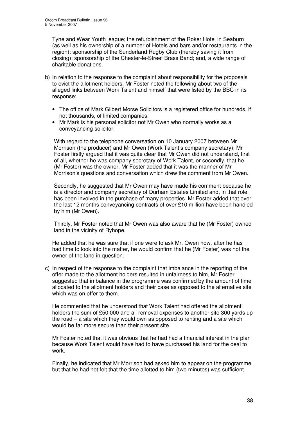Tyne and Wear Youth league; the refurbishment of the Roker Hotel in Seaburn (as well as his ownership of a number of Hotels and bars and/or restaurants in the region); sponsorship of the Sunderland Rugby Club (thereby saving it from closing); sponsorship of the Chester-le-Street Brass Band; and, a wide range of charitable donations.

- b) In relation to the response to the complaint about responsibility for the proposals to evict the allotment holders, Mr Foster noted the following about two of the alleged links between Work Talent and himself that were listed by the BBC in its response:
	- The office of Mark Gilbert Morse Solicitors is a registered office for hundreds, if not thousands, of limited companies.
	- Mr Mark is his personal solicitor not Mr Owen who normally works as a conveyancing solicitor.

With regard to the telephone conversation on 10 January 2007 between Mr Morrison (the producer) and Mr Owen (Work Talent's company secretary), Mr Foster firstly argued that it was quite clear that Mr Owen did not understand, first of all, whether he was company secretary of Work Talent, or secondly, that he (Mr Foster) was the owner. Mr Foster added that it was the manner of Mr Morrison's questions and conversation which drew the comment from Mr Owen.

Secondly, he suggested that Mr Owen may have made his comment because he is a director and company secretary of Durham Estates Limited and, in that role, has been involved in the purchase of many properties. Mr Foster added that over the last 12 months conveyancing contracts of over £10 million have been handled by him (Mr Owen).

Thirdly, Mr Foster noted that Mr Owen was also aware that he (Mr Foster) owned land in the vicinity of Ryhope.

He added that he was sure that if one were to ask Mr. Owen now, after he has had time to look into the matter, he would confirm that he (Mr Foster) was not the owner of the land in question.

c) In respect of the response to the complaint that imbalance in the reporting of the offer made to the allotment holders resulted in unfairness to him, Mr Foster suggested that imbalance in the programme was confirmed by the amount of time allocated to the allotment holders and their case as opposed to the alternative site which was on offer to them.

He commented that he understood that Work Talent had offered the allotment holders the sum of £50,000 and all removal expenses to another site 300 yards up the road – a site which they would own as opposed to renting and a site which would be far more secure than their present site.

Mr Foster noted that it was obvious that he had had a financial interest in the plan because Work Talent would have had to have purchased his land for the deal to work.

Finally, he indicated that Mr Morrison had asked him to appear on the programme but that he had not felt that the time allotted to him (two minutes) was sufficient.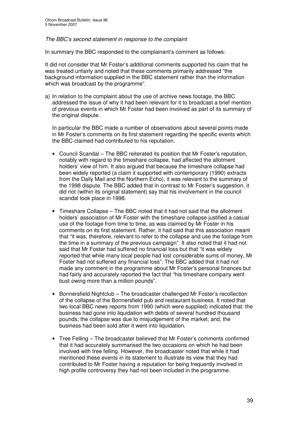#### *The BBC's second statement in response to the complaint*

In summary the BBC responded to the complainant's comment as follows:

It did not consider that Mr Foster's additional comments supported his claim that he was treated unfairly and noted that these comments primarily addressed "the background information supplied in the BBC statement rather than the information which was broadcast by the programme".

a) In relation to the complaint about the use of archive news footage, the BBC addressed the issue of why it had been relevant for it to broadcast a brief mention of previous events in which Mr Foster had been involved as part of its summary of the original dispute.

In particular the BBC made a number of observations about several points made in Mr Foster's comments on its first statement regarding the specific events which the BBC claimed had contributed to his reputation.

- Council Scandal The BBC reiterated its position that Mr Foster's reputation, notably with regard to the timeshare collapse, had affected the allotment holders' view of him. It also argued that because the timeshare collapse had been widely reported (a claim it supported with contemporary (1990) extracts from the Daily Mail and the Northern Echo), it was relevant to the summary of the 1998 dispute. The BBC added that in contrast to Mr Foster's suggestion, it did not (within its original statement) say that his involvement in the council scandal took place in 1998.
- Timeshare Collapse The BBC noted that it had not said that the allotment holders' association of Mr Foster with the timeshare collapse justified a casual use of the footage from time to time, as was claimed by Mr Foster in his comments on its first statement. Rather, it had said that this association meant that "it was, therefore, relevant to refer to the collapse and use the footage from the time in a summary of the previous campaign". It also noted that it had not said that Mr Foster had suffered no financial loss but that "it was widely reported that while many local people had lost considerable sums of money, Mr Foster had not suffered any financial loss". The BBC added that it had not made any comment in the programme about Mr Foster's personal finances but had fairly and accurately reported the fact that "his timeshare company went bust owing more than a million pounds".
- Bonnersfield Nightclub The broadcaster challenged Mr Foster's recollection of the collapse of the Bonnersfield pub and restaurant business. It noted that two local BBC news reports from 1990 (which were supplied) indicated that: the business had gone into liquidation with debts of several hundred thousand pounds; the collapse was due to misjudgement of the market; and, the business had been sold after it went into liquidation.
- Tree Felling The broadcaster believed that Mr Foster's comments confirmed that it had accurately summarised the two occasions on which he had been involved with tree felling. However, the broadcaster noted that while it had mentioned these events in its statement to illustrate its view that they had contributed to Mr Foster having a reputation for being frequently involved in high profile controversy they had not been included in the programme.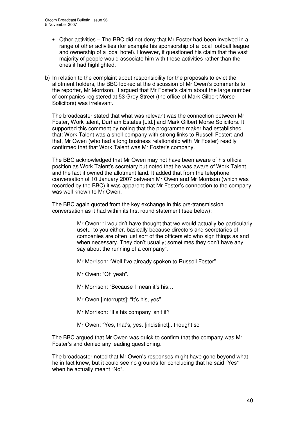- Other activities The BBC did not deny that Mr Foster had been involved in a range of other activities (for example his sponsorship of a local football league and ownership of a local hotel). However, it questioned his claim that the vast majority of people would associate him with these activities rather than the ones it had highlighted.
- b) In relation to the complaint about responsibility for the proposals to evict the allotment holders, the BBC looked at the discussion of Mr Owen's comments to the reporter, Mr Morrison. It argued that Mr Foster's claim about the large number of companies registered at 53 Grey Street (the office of Mark Gilbert Morse Solicitors) was irrelevant.

The broadcaster stated that what was relevant was the connection between Mr Foster, Work talent, Durham Estates [Ltd.] and Mark Gilbert Morse Solicitors. It supported this comment by noting that the programme maker had established that: Work Talent was a shell-company with strong links to Russell Foster; and that, Mr Owen (who had a long business relationship with Mr Foster) readily confirmed that that Work Talent was Mr Foster's company.

The BBC acknowledged that Mr Owen may not have been aware of his official position as Work Talent's secretary but noted that he was aware of Work Talent and the fact it owned the allotment land. It added that from the telephone conversation of 10 January 2007 between Mr Owen and Mr Morrison (which was recorded by the BBC) it was apparent that Mr Foster's connection to the company was well known to Mr Owen.

The BBC again quoted from the key exchange in this pre-transmission conversation as it had within its first round statement (see below):

> Mr Owen: "I wouldn't have thought that we would actually be particularly useful to you either, basically because directors and secretaries of companies are often just sort of the officers etc who sign things as and when necessary. They don't usually; sometimes they don't have any say about the running of a company".

Mr Morrison: "Well I've already spoken to Russell Foster"

Mr Owen: "Oh yeah".

Mr Morrison: "Because I mean it's his…"

Mr Owen [interrupts]: "It's his, yes"

Mr Morrison: "It's his company isn't it?"

Mr Owen: "Yes, that's, yes..[indistinct].. thought so"

The BBC argued that Mr Owen was quick to confirm that the company was Mr Foster's and denied any leading questioning.

The broadcaster noted that Mr Owen's responses might have gone beyond what he in fact knew, but it could see no grounds for concluding that he said "Yes" when he actually meant "No".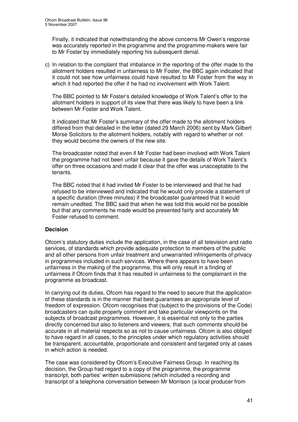Finally, it indicated that notwithstanding the above concerns Mr Owen's response was accurately reported in the programme and the programme-makers were fair to Mr Foster by immediately reporting his subsequent denial.

c) In relation to the complaint that imbalance in the reporting of the offer made to the allotment holders resulted in unfairness to Mr Foster, the BBC again indicated that it could not see how unfairness could have resulted to Mr Foster from the way in which it had reported the offer if he had no involvement with Work Talent.

The BBC pointed to Mr Foster's detailed knowledge of Work Talent's offer to the allotment holders in support of its view that there was likely to have been a link between Mr Foster and Work Talent.

It indicated that Mr Foster's summary of the offer made to the allotment holders differed from that detailed in the letter (dated 29 March 2006) sent by Mark Gilbert Morse Solicitors to the allotment holders, notably with regard to whether or not they would become the owners of the new site.

The broadcaster noted that even if Mr Foster had been involved with Work Talent the programme had not been unfair because it gave the details of Work Talent's offer on three occasions and made it clear that the offer was unacceptable to the tenants.

The BBC noted that it had invited Mr Foster to be interviewed and that he had refused to be interviewed and indicated that he would only provide a statement of a specific duration (three minutes) if the broadcaster guaranteed that it would remain unedited. The BBC said that when he was told this would not be possible but that any comments he made would be presented fairly and accurately Mr Foster refused to comment.

#### **Decision**

Ofcom's statutory duties include the application, in the case of all television and radio services, of standards which provide adequate protection to members of the public and all other persons from unfair treatment and unwarranted infringements of privacy in programmes included in such services. Where there appears to have been unfairness in the making of the programme, this will only result in a finding of unfairness if Ofcom finds that it has resulted in unfairness to the complainant in the programme as broadcast.

In carrying out its duties, Ofcom has regard to the need to secure that the application of these standards is in the manner that best guarantees an appropriate level of freedom of expression. Ofcom recognises that (subject to the provisions of the Code) broadcasters can quite properly comment and take particular viewpoints on the subjects of broadcast programmes. However, it is essential not only to the parties directly concerned but also to listeners and viewers, that such comments should be accurate in all material respects so as not to cause unfairness. Ofcom is also obliged to have regard in all cases, to the principles under which regulatory activities should be transparent, accountable, proportionate and consistent and targeted only at cases in which action is needed.

The case was considered by Ofcom's Executive Fairness Group. In reaching its decision, the Group had regard to a copy of the programme, the programme transcript, both parties' written submissions (which included a recording and transcript of a telephone conversation between Mr Morrison (a local producer from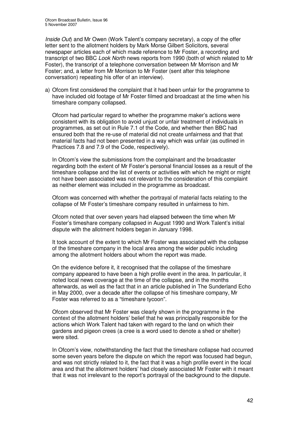*Inside Out*) and Mr Owen (Work Talent's company secretary), a copy of the offer letter sent to the allotment holders by Mark Morse Gilbert Solicitors, several newspaper articles each of which made reference to Mr Foster, a recording and transcript of two BBC *Look North* news reports from 1990 (both of which related to Mr Foster), the transcript of a telephone conversation between Mr Morrison and Mr Foster; and, a letter from Mr Morrison to Mr Foster (sent after this telephone conversation) repeating his offer of an interview).

a) Ofcom first considered the complaint that it had been unfair for the programme to have included old footage of Mr Foster filmed and broadcast at the time when his timeshare company collapsed.

Ofcom had particular regard to whether the programme maker's actions were consistent with its obligation to avoid unjust or unfair treatment of individuals in programmes, as set out in Rule 7.1 of the Code, and whether then BBC had ensured both that the re-use of material did not create unfairness and that that material facts had not been presented in a way which was unfair (as outlined in Practices 7.8 and 7.9 of the Code, respectively).

In Ofcom's view the submissions from the complainant and the broadcaster regarding both the extent of Mr Foster's personal financial losses as a result of the timeshare collapse and the list of events or activities with which he might or might not have been associated was not relevant to the consideration of this complaint as neither element was included in the programme as broadcast.

Ofcom was concerned with whether the portrayal of material facts relating to the collapse of Mr Foster's timeshare company resulted in unfairness to him.

Ofcom noted that over seven years had elapsed between the time when Mr Foster's timeshare company collapsed in August 1990 and Work Talent's initial dispute with the allotment holders began in January 1998.

It took account of the extent to which Mr Foster was associated with the collapse of the timeshare company in the local area among the wider public including among the allotment holders about whom the report was made.

On the evidence before it, it recognised that the collapse of the timeshare company appeared to have been a high profile event in the area. In particular, it noted local news coverage at the time of the collapse, and in the months afterwards, as well as the fact that in an article published in The Sunderland Echo in May 2000, over a decade after the collapse of his timeshare company, Mr Foster was referred to as a "timeshare tycoon".

Ofcom observed that Mr Foster was clearly shown in the programme in the context of the allotment holders' belief that he was principally responsible for the actions which Work Talent had taken with regard to the land on which their gardens and pigeon crees (a cree is a word used to denote a shed or shelter) were sited.

In Ofcom's view, notwithstanding the fact that the timeshare collapse had occurred some seven years before the dispute on which the report was focused had begun, and was not strictly related to it, the fact that it was a high profile event in the local area and that the allotment holders' had closely associated Mr Foster with it meant that it was not irrelevant to the report's portrayal of the background to the dispute.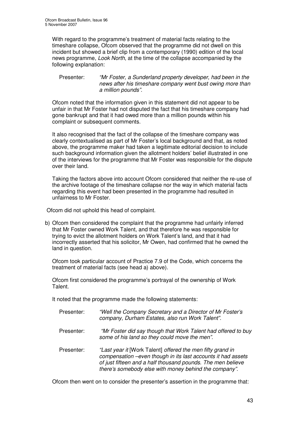With regard to the programme's treatment of material facts relating to the timeshare collapse, Ofcom observed that the programme did not dwell on this incident but showed a brief clip from a contemporary (1990) edition of the local news programme, *Look North*, at the time of the collapse accompanied by the following explanation:

Presenter: *"Mr Foster, a Sunderland property developer, had been in the news after his timeshare company went bust owing more than a million pounds".*

Ofcom noted that the information given in this statement did not appear to be unfair in that Mr Foster had not disputed the fact that his timeshare company had gone bankrupt and that it had owed more than a million pounds within his complaint or subsequent comments.

It also recognised that the fact of the collapse of the timeshare company was clearly contextualised as part of Mr Foster's local background and that, as noted above, the programme maker had taken a legitimate editorial decision to include such background information given the allotment holders' belief illustrated in one of the interviews for the programme that Mr Foster was responsible for the dispute over their land.

Taking the factors above into account Ofcom considered that neither the re-use of the archive footage of the timeshare collapse nor the way in which material facts regarding this event had been presented in the programme had resulted in unfairness to Mr Foster.

Ofcom did not uphold this head of complaint.

b) Ofcom then considered the complaint that the programme had unfairly inferred that Mr Foster owned Work Talent, and that therefore he was responsible for trying to evict the allotment holders on Work Talent's land, and that it had incorrectly asserted that his solicitor, Mr Owen, had confirmed that he owned the land in question.

Ofcom took particular account of Practice 7.9 of the Code, which concerns the treatment of material facts (see head a) above).

Ofcom first considered the programme's portrayal of the ownership of Work Talent.

It noted that the programme made the following statements:

- Presenter: *"Well the Company Secretary and a Director of Mr Foster's company, Durham Estates, also run Work Talent".*
- Presenter: *"Mr Foster did say though that Work Talent had offered to buy some of his land so they could move the men".*
- Presenter: *"Last year it* [Work Talent] *offered the men fifty grand in compensation –even though in its last accounts it had assets of just fifteen and a half thousand pounds. The men believe there's somebody else with money behind the company"*.

Ofcom then went on to consider the presenter's assertion in the programme that: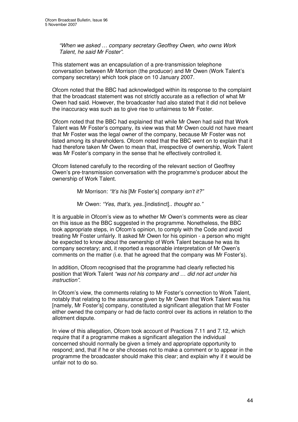*"When we asked … company secretary Geoffrey Owen, who owns Work Talent, he said Mr Foster"*.

This statement was an encapsulation of a pre-transmission telephone conversation between Mr Morrison (the producer) and Mr Owen (Work Talent's company secretary) which took place on 10 January 2007.

Ofcom noted that the BBC had acknowledged within its response to the complaint that the broadcast statement was not strictly accurate as a reflection of what Mr Owen had said. However, the broadcaster had also stated that it did not believe the inaccuracy was such as to give rise to unfairness to Mr Foster.

Ofcom noted that the BBC had explained that while Mr Owen had said that Work Talent was Mr Foster's company, its view was that Mr Owen could not have meant that Mr Foster was the legal owner of the company, because Mr Foster was not listed among its shareholders. Ofcom noted that the BBC went on to explain that it had therefore taken Mr Owen to mean that, irrespective of ownership, Work Talent was Mr Foster's company in the sense that he effectively controlled it.

Ofcom listened carefully to the recording of the relevant section of Geoffrey Owen's pre-transmission conversation with the programme's producer about the ownership of Work Talent.

Mr Morrison: *"It's his* [Mr Foster's] *company isn't it?"*

Mr Owen: *"Yes, that's, yes*..[indistinct].. *thought so."*

It is arguable in Ofcom's view as to whether Mr Owen's comments were as clear on this issue as the BBC suggested in the programme. Nonetheless, the BBC took appropriate steps, in Ofcom's opinion, to comply with the Code and avoid treating Mr Foster unfairly. It asked Mr Owen for his opinion - a person who might be expected to know about the ownership of Work Talent because he was its company secretary; and, it reported a reasonable interpretation of Mr Owen's comments on the matter (i.e. that he agreed that the company was Mr Foster's).

In addition, Ofcom recognised that the programme had clearly reflected his position that Work Talent *"was not his company and … did not act under his instruction"*.

In Ofcom's view, the comments relating to Mr Foster's connection to Work Talent, notably that relating to the assurance given by Mr Owen that Work Talent was his [namely, Mr Foster's] company, constituted a significant allegation that Mr Foster either owned the company or had de facto control over its actions in relation to the allotment dispute.

In view of this allegation, Ofcom took account of Practices 7.11 and 7.12, which require that if a programme makes a significant allegation the individual concerned should normally be given a timely and appropriate opportunity to respond; and, that if he or she chooses not to make a comment or to appear in the programme the broadcaster should make this clear; and explain why if it would be unfair not to do so.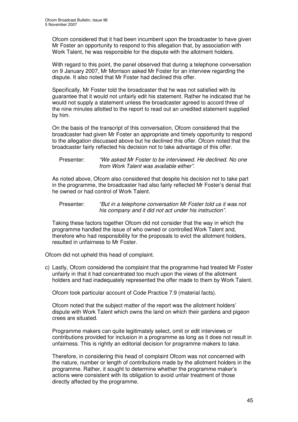Ofcom considered that it had been incumbent upon the broadcaster to have given Mr Foster an opportunity to respond to this allegation that, by association with Work Talent, he was responsible for the dispute with the allotment holders.

With regard to this point, the panel observed that during a telephone conversation on 9 January 2007, Mr Morrison asked Mr Foster for an interview regarding the dispute. It also noted that Mr Foster had declined this offer.

Specifically, Mr Foster told the broadcaster that he was not satisfied with its guarantee that it would not unfairly edit his statement. Rather he indicated that he would not supply a statement unless the broadcaster agreed to accord three of the nine minutes allotted to the report to read out an unedited statement supplied by him.

On the basis of the transcript of this conversation, Ofcom considered that the broadcaster had given Mr Foster an appropriate and timely opportunity to respond to the allegation discussed above but he declined this offer. Ofcom noted that the broadcaster fairly reflected his decision not to take advantage of this offer.

#### Presenter: *"We asked Mr Foster to be interviewed. He declined. No one from Work Talent was available either".*

As noted above, Ofcom also considered that despite his decision not to take part in the programme, the broadcaster had also fairly reflected Mr Foster's denial that he owned or had control of Work Talent.

Presenter: *"But in a telephone conversation Mr Foster told us it was not his company and it did not act under his instruction".*

Taking these factors together Ofcom did not consider that the way in which the programme handled the issue of who owned or controlled Work Talent and, therefore who had responsibility for the proposals to evict the allotment holders, resulted in unfairness to Mr Foster.

Ofcom did not upheld this head of complaint.

c) Lastly, Ofcom considered the complaint that the programme had treated Mr Foster unfairly in that it had concentrated too much upon the views of the allotment holders and had inadequately represented the offer made to them by Work Talent.

Ofcom took particular account of Code Practice 7.9 (material facts).

Ofcom noted that the subject matter of the report was the allotment holders' dispute with Work Talent which owns the land on which their gardens and pigeon crees are situated.

Programme makers can quite legitimately select, omit or edit interviews or contributions provided for inclusion in a programme as long as it does not result in unfairness. This is rightly an editorial decision for programme makers to take.

Therefore, in considering this head of complaint Ofcom was not concerned with the nature, number or length of contributions made by the allotment holders in the programme. Rather, it sought to determine whether the programme maker's actions were consistent with its obligation to avoid unfair treatment of those directly affected by the programme.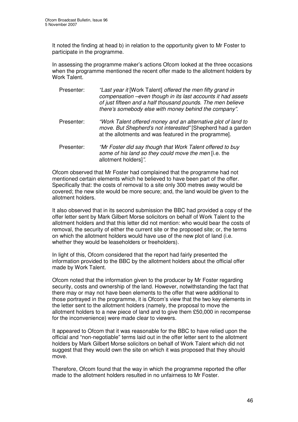It noted the finding at head b) in relation to the opportunity given to Mr Foster to participate in the programme.

In assessing the programme maker's actions Ofcom looked at the three occasions when the programme mentioned the recent offer made to the allotment holders by Work Talent.

- Presenter: *"Last year it* [Work Talent] *offered the men fifty grand in compensation –even though in its last accounts it had assets of just fifteen and a half thousand pounds. The men believe there's somebody else with money behind the company"*.
- Presenter: *"Work Talent offered money and an alternative plot of land to move. But Shepherd's not interested"* [Shepherd had a garden at the allotments and was featured in the programme].
- Presenter: *"Mr Foster did say though that Work Talent offered to buy some of his land so they could move the men* [i.e. the allotment holders]*"*.

Ofcom observed that Mr Foster had complained that the programme had not mentioned certain elements which he believed to have been part of the offer. Specifically that: the costs of removal to a site only 300 metres away would be covered; the new site would be more secure; and, the land would be given to the allotment holders.

It also observed that in its second submission the BBC had provided a copy of the offer letter sent by Mark Gilbert Morse solicitors on behalf of Work Talent to the allotment holders and that this letter did not mention: who would bear the costs of removal, the security of either the current site or the proposed site; or, the terms on which the allotment holders would have use of the new plot of land (i.e. whether they would be leaseholders or freeholders).

In light of this, Ofcom considered that the report had fairly presented the information provided to the BBC by the allotment holders about the official offer made by Work Talent.

Ofcom noted that the information given to the producer by Mr Foster regarding security, costs and ownership of the land. However, notwithstanding the fact that there may or may not have been elements to the offer that were additional to those portrayed in the programme, it is Ofcom's view that the two key elements in the letter sent to the allotment holders (namely, the proposal to move the allotment holders to a new piece of land and to give them £50,000 in recompense for the inconvenience) were made clear to viewers.

It appeared to Ofcom that it was reasonable for the BBC to have relied upon the official and "non-negotiable" terms laid out in the offer letter sent to the allotment holders by Mark Gilbert Morse solicitors on behalf of Work Talent which did not suggest that they would own the site on which it was proposed that they should move.

Therefore, Ofcom found that the way in which the programme reported the offer made to the allotment holders resulted in no unfairness to Mr Foster.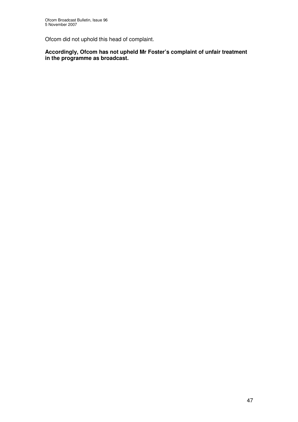Ofcom did not uphold this head of complaint.

**Accordingly, Ofcom has not upheld Mr Foster's complaint of unfair treatment in the programme as broadcast.**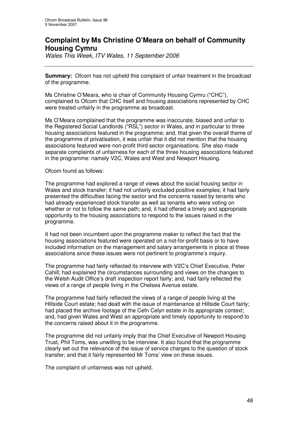# **Complaint by Ms Christine O'Meara on behalf of Community Housing Cymru**

*Wales This Week, ITV Wales, 11 September 2006*

**Summary:** Ofcom has not upheld this complaint of unfair treatment in the broadcast of the programme.

Ms Christine O'Meara, who is chair of Community Housing Cymru ("CHC"), complained to Ofcom that CHC itself and housing associations represented by CHC were treated unfairly in the programme as broadcast.

Ms O'Meara complained that the programme was inaccurate, biased and unfair to the Registered Social Landlords ("RSL") sector in Wales, and in particular to three housing associations featured in the programme; and, that given the overall theme of the programme of privatisation, it was unfair that it did not mention that the housing associations featured were non-profit third sector organisations. She also made separate complaints of unfairness for each of the three housing associations featured in the programme: namely V2C, Wales and West and Newport Housing.

Ofcom found as follows:

The programme had explored a range of views about the social housing sector in Wales and stock transfer; it had not unfairly excluded positive examples; it had fairly presented the difficulties facing the sector and the concerns raised by tenants who had already experienced stock transfer as well as tenants who were voting on whether or not to follow the same path; and, it had offered a timely and appropriate opportunity to the housing associations to respond to the issues raised in the programme.

It had not been incumbent upon the programme maker to reflect the fact that the housing associations featured were operated on a not-for-profit basis or to have included information on the management and salary arrangements in place at these associations since these issues were not pertinent to programme's inquiry.

The programme had fairly reflected its interview with V2C's Chief Executive, Peter Cahill; had explained the circumstances surrounding and views on the changes to the Welsh Audit Office's draft inspection report fairly; and, had fairly reflected the views of a range of people living in the Chelsea Avenue estate.

The programme had fairly reflected the views of a range of people living at the Hillside Court estate; had dealt with the issue of maintenance at Hillside Court fairly; had placed the archive footage of the Cefn Celyn estate in its appropriate context; and, had given Wales and West an appropriate and timely opportunity to respond to the concerns raised about it in the programme.

The programme did not unfairly imply that the Chief Executive of Newport Housing Trust, Phil Toms, was unwilling to be interview. It also found that the programme clearly set out the relevance of the issue of service charges to the question of stock transfer; and that it fairly represented Mr Toms' view on these issues.

The complaint of unfairness was not upheld.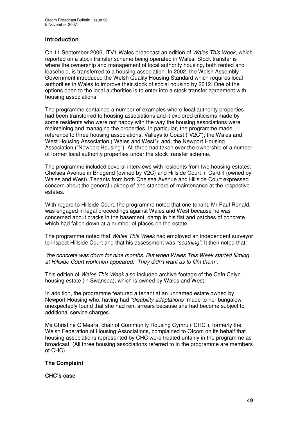# **Introduction**

On 11 September 2006, ITV1 Wales broadcast an edition of *Wales This Week*, which reported on a stock transfer scheme being operated in Wales. Stock transfer is where the ownership and management of local authority housing, both rented and leasehold, is transferred to a housing association. In 2002, the Welsh Assembly Government introduced the Welsh Quality Housing Standard which requires local authorities in Wales to improve their stock of social housing by 2012. One of the options open to the local authorities is to enter into a stock transfer agreement with housing associations.

The programme contained a number of examples where local authority properties had been transferred to housing associations and it explored criticisms made by some residents who were not happy with the way the housing associations were maintaining and managing the properties. In particular, the programme made reference to three housing associations: Valleys to Coast ("V2C"); the Wales and West Housing Association ("Wales and West"); and, the Newport Housing Association ("Newport Housing"). All three had taken over the ownership of a number of former local authority properties under the stock transfer scheme.

The programme included several interviews with residents from two housing estates: Chelsea Avenue in Bridgend (owned by V2C) and Hillside Court in Cardiff (owned by Wales and West). Tenants from both Chelsea Avenue and Hillside Court expressed concern about the general upkeep of and standard of maintenance at the respective estates.

With regard to Hillside Court, the programme noted that one tenant, Mr Paul Ronald, was engaged in legal proceedings against Wales and West because he was concerned about cracks in the basement, damp in his flat and patches of concrete which had fallen down at a number of places on the estate.

The programme noted that *Wales This Week* had employed an independent surveyor to inspect Hillside Court and that his assessment was *"scathing"*. It then noted that:

*"the concrete was down for nine months. But when Wales This Week started filming at Hillside Court workmen appeared. They didn't want us to film them".*

This edition of *Wales This Week* also included archive footage of the Cefn Celyn housing estate (in Swansea), which is owned by Wales and West.

In addition, the programme featured a tenant at an unnamed estate owned by Newport Housing who, having had *"disability adaptations"* made to her bungalow, unexpectedly found that she had rent arrears because she had become subject to additional service charges.

Ms Christine O'Meara, chair of Community Housing Cymru ("CHC"), formerly the Welsh Federation of Housing Associations, complained to Ofcom on its behalf that housing associations represented by CHC were treated unfairly in the programme as broadcast. (All three housing associations referred to in the programme are members of CHC).

#### **The Complaint**

**CHC's case**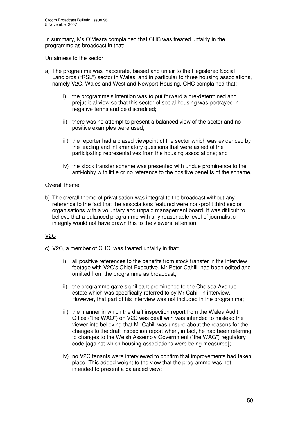In summary, Ms O'Meara complained that CHC was treated unfairly in the programme as broadcast in that:

#### Unfairness to the sector

- a) The programme was inaccurate, biased and unfair to the Registered Social Landlords ("RSL") sector in Wales, and in particular to three housing associations, namely V2C, Wales and West and Newport Housing. CHC complained that:
	- i) the programme's intention was to put forward a pre-determined and prejudicial view so that this sector of social housing was portrayed in negative terms and be discredited;
	- ii) there was no attempt to present a balanced view of the sector and no positive examples were used;
	- iii) the reporter had a biased viewpoint of the sector which was evidenced by the leading and inflammatory questions that were asked of the participating representatives from the housing associations; and
	- iv) the stock transfer scheme was presented with undue prominence to the anti-lobby with little or no reference to the positive benefits of the scheme.

### Overall theme

b) The overall theme of privatisation was integral to the broadcast without any reference to the fact that the associations featured were non-profit third sector organisations with a voluntary and unpaid management board. It was difficult to believe that a balanced programme with any reasonable level of journalistic integrity would not have drawn this to the viewers' attention.

# V2C

- c) V2C, a member of CHC, was treated unfairly in that:
	- i) all positive references to the benefits from stock transfer in the interview footage with V2C's Chief Executive, Mr Peter Cahill, had been edited and omitted from the programme as broadcast;
	- ii) the programme gave significant prominence to the Chelsea Avenue estate which was specifically referred to by Mr Cahill in interview. However, that part of his interview was not included in the programme;
	- iii) the manner in which the draft inspection report from the Wales Audit Office ("the WAO") on V2C was dealt with was intended to mislead the viewer into believing that Mr Cahill was unsure about the reasons for the changes to the draft inspection report when, in fact, he had been referring to changes to the Welsh Assembly Government ("the WAG") regulatory code [against which housing associations were being measured];
	- iv) no V2C tenants were interviewed to confirm that improvements had taken place. This added weight to the view that the programme was not intended to present a balanced view;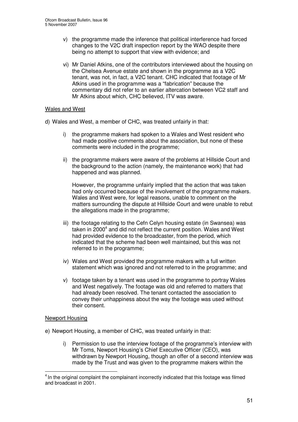- v) the programme made the inference that political interference had forced changes to the V2C draft inspection report by the WAO despite there being no attempt to support that view with evidence; and
- vi) Mr Daniel Atkins, one of the contributors interviewed about the housing on the Chelsea Avenue estate and shown in the programme as a V2C tenant, was not, in fact, a V2C tenant. CHC indicated that footage of Mr Atkins used in the programme was a "fabrication" because the commentary did not refer to an earlier altercation between VC2 staff and Mr Atkins about which, CHC believed, ITV was aware.

#### Wales and West

- d) Wales and West, a member of CHC, was treated unfairly in that:
	- i) the programme makers had spoken to a Wales and West resident who had made positive comments about the association, but none of these comments were included in the programme;
	- ii) the programme makers were aware of the problems at Hillside Court and the background to the action (namely, the maintenance work) that had happened and was planned.

However, the programme unfairly implied that the action that was taken had only occurred because of the involvement of the programme makers. Wales and West were, for legal reasons, unable to comment on the matters surrounding the dispute at Hillside Court and were unable to rebut the allegations made in the programme;

- iii) the footage relating to the Cefn Celyn housing estate (in Swansea) was taken in 2000<sup>4</sup> and did not reflect the current position. Wales and West had provided evidence to the broadcaster, from the period, which indicated that the scheme had been well maintained, but this was not referred to in the programme;
- iv) Wales and West provided the programme makers with a full written statement which was ignored and not referred to in the programme; and
- v) footage taken by a tenant was used in the programme to portray Wales and West negatively. The footage was old and referred to matters that had already been resolved. The tenant contacted the association to convey their unhappiness about the way the footage was used without their consent.

#### Newport Housing

e) Newport Housing, a member of CHC, was treated unfairly in that:

i) Permission to use the interview footage of the programme's interview with Mr Toms, Newport Housing's Chief Executive Officer (CEO), was withdrawn by Newport Housing, though an offer of a second interview was made by the Trust and was given to the programme makers within the

 $<sup>4</sup>$  In the original complaint the complainant incorrectly indicated that this footage was filmed</sup> and broadcast in 2001.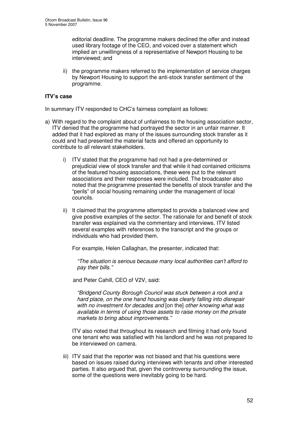editorial deadline. The programme makers declined the offer and instead used library footage of the CEO, and voiced over a statement which implied an unwillingness of a representative of Newport Housing to be interviewed; and

ii) the programme makers referred to the implementation of service charges by Newport Housing to support the anti-stock transfer sentiment of the programme.

### **ITV's case**

In summary ITV responded to CHC's fairness complaint as follows:

- a) With regard to the complaint about of unfairness to the housing association sector, ITV denied that the programme had portrayed the sector in an unfair manner. It added that it had explored as many of the issues surrounding stock transfer as it could and had presented the material facts and offered an opportunity to contribute to all relevant stakeholders.
	- i) ITV stated that the programme had not had a pre-determined or prejudicial view of stock transfer and that while it had contained criticisms of the featured housing associations, these were put to the relevant associations and their responses were included. The broadcaster also noted that the programme presented the benefits of stock transfer and the "perils" of social housing remaining under the management of local councils.
	- ii) It claimed that the programme attempted to provide a balanced view and give positive examples of the sector. The rationale for and benefit of stock transfer was explained via the commentary and interviews. ITV listed several examples with references to the transcript and the groups or individuals who had provided them.

For example, Helen Callaghan, the presenter, indicated that:

*"The situation is serious because many local authorities can't afford to pay their bills."*

and Peter Cahill, CEO of V2V, said:

*"Bridgend County Borough Council was stuck between a rock and a hard place, on the one hand housing was clearly falling into disrepair with no investment for decades and* [on the] *other knowing what was available in terms of using those assets to raise money on the private markets to bring about improvements."*

ITV also noted that throughout its research and filming it had only found one tenant who was satisfied with his landlord and he was not prepared to be interviewed on camera.

iii) ITV said that the reporter was not biased and that his questions were based on issues raised during interviews with tenants and other interested parties. It also argued that, given the controversy surrounding the issue, some of the questions were inevitably going to be hard.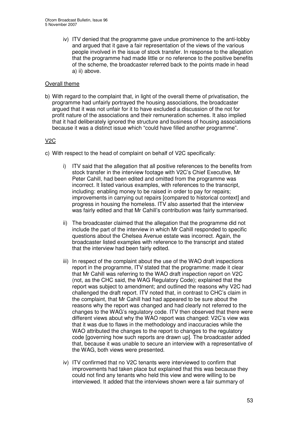iv) ITV denied that the programme gave undue prominence to the anti-lobby and argued that it gave a fair representation of the views of the various people involved in the issue of stock transfer. In response to the allegation that the programme had made little or no reference to the positive benefits of the scheme, the broadcaster referred back to the points made in head a) ii) above.

# Overall theme

b) With regard to the complaint that, in light of the overall theme of privatisation, the programme had unfairly portrayed the housing associations, the broadcaster argued that it was not unfair for it to have excluded a discussion of the not for profit nature of the associations and their remuneration schemes. It also implied that it had deliberately ignored the structure and business of housing associations because it was a distinct issue which "could have filled another programme".

# V2C

c) With respect to the head of complaint on behalf of V2C specifically:

- i) ITV said that the allegation that all positive references to the benefits from stock transfer in the interview footage with V2C's Chief Executive, Mr Peter Cahill, had been edited and omitted from the programme was incorrect. It listed various examples, with references to the transcript, including: enabling money to be raised in order to pay for repairs; improvements in carrying out repairs [compared to historical context] and progress in housing the homeless. ITV also asserted that the interview was fairly edited and that Mr Cahill's contribution was fairly summarised.
- ii) The broadcaster claimed that the allegation that the programme did not include the part of the interview in which Mr Cahill responded to specific questions about the Chelsea Avenue estate was incorrect. Again, the broadcaster listed examples with reference to the transcript and stated that the interview had been fairly edited.
- iii) In respect of the complaint about the use of the WAO draft inspections report in the programme, ITV stated that the programme: made it clear that Mr Cahill was referring to the WAO draft inspection report on V2C (not, as the CHC said, the WAG Regulatory Code); explained that the report was subject to amendment; and outlined the reasons why V2C had challenged the draft report. ITV noted that, in contrast to CHC's claim in the complaint, that Mr Cahill had had appeared to be sure about the reasons why the report was changed and had clearly not referred to the changes to the WAG's regulatory code. ITV then observed that there were different views about why the WAO report was changed: V2C's view was that it was due to flaws in the methodology and inaccuracies while the WAO attributed the changes to the report to changes to the regulatory code [governing how such reports are drawn up]. The broadcaster added that, because it was unable to secure an interview with a representative of the WAG, both views were presented.
- iv) ITV confirmed that no V2C tenants were interviewed to confirm that improvements had taken place but explained that this was because they could not find any tenants who held this view and were willing to be interviewed. It added that the interviews shown were a fair summary of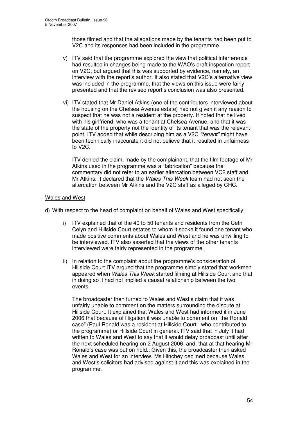those filmed and that the allegations made by the tenants had been put to V2C and its responses had been included in the programme.

- v) ITV said that the programme explored the view that political interference had resulted in changes being made to the WAO's draft inspection report on V2C, but argued that this was supported by evidence, namely, an interview with the report's author. It also stated that V2C's alternative view was included in the programme, that the views on this issue were fairly presented and that the revised report's conclusion was also presented.
- vi) ITV stated that Mr Daniel Atkins (one of the contributors interviewed about the housing on the Chelsea Avenue estate) had not given it any reason to suspect that he was not a resident at the property. It noted that he lived with his girlfriend, who was a tenant at Chelsea Avenue, and that it was the state of the property not the identity of its tenant that was the relevant point. ITV added that while describing him as a V2C *"tenant"* might have been technically inaccurate it did not believe that it resulted in unfairness to V2C.

ITV denied the claim, made by the complainant, that the film footage of Mr Atkins used in the programme was a "fabrication" because the commentary did not refer to an earlier altercation between VC2 staff and Mr Atkins. It declared that the *Wales This Week* team had not seen the altercation between Mr Atkins and the V2C staff as alleged by CHC.

#### Wales and West

d) With respect to the head of complaint on behalf of Wales and West specifically:

- i) ITV explained that of the 40 to 50 tenants and residents from the Cefn Celyn and Hillside Court estates to whom it spoke it found one tenant who made positive comments about Wales and West and he was unwilling to be interviewed. ITV also asserted that the views of the other tenants interviewed were fairly represented in the programme.
- ii) In relation to the complaint about the programme's consideration of Hillside Court ITV argued that the programme simply stated that workmen appeared when *Wales This Week* started filming at Hillside Court and that in doing so it had not implied a causal relationship between the two events.

The broadcaster then turned to Wales and West's claim that it was unfairly unable to comment on the matters surrounding the dispute at Hillside Court. It explained that Wales and West had informed it in June 2006 that because of litigation it was unable to comment on "the Ronald case" (Paul Ronald was a resident at Hillside Court who contributed to the programme) or Hillside Court in general. ITV said that in July it had written to Wales and West to say that it would delay broadcast until after the next scheduled hearing on 2 August 2006; and, that at that hearing Mr Ronald's case was put on hold.. Given this, the broadcaster then asked Wales and West for an interview. Ms Hinchey declined because Wales and West's solicitors had advised against it and this was explained in the programme.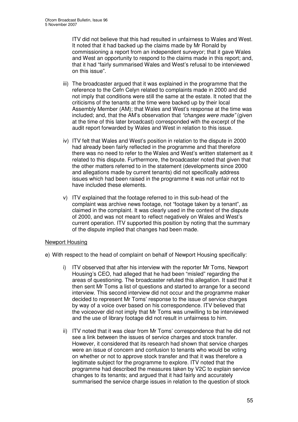ITV did not believe that this had resulted in unfairness to Wales and West. It noted that it had backed up the claims made by Mr Ronald by commissioning a report from an independent surveyor; that it gave Wales and West an opportunity to respond to the claims made in this report; and, that it had "fairly summarised Wales and West's refusal to be interviewed on this issue".

- iii) The broadcaster argued that it was explained in the programme that the reference to the Cefn Celyn related to complaints made in 2000 and did not imply that conditions were still the same at the estate. It noted that the criticisms of the tenants at the time were backed up by their local Assembly Member (AM); that Wales and West's response at the time was included; and, that the AM's observation that *"changes were made"* (given at the time of this later broadcast) corresponded with the excerpt of the audit report forwarded by Wales and West in relation to this issue.
- iv) ITV felt that Wales and West's position in relation to the dispute in 2000 had already been fairly reflected in the programme and that therefore there was no need to refer to the Wales and West's written statement as it related to this dispute. Furthermore, the broadcaster noted that given that the other matters referred to in the statement (developments since 2000 and allegations made by current tenants) did not specifically address issues which had been raised in the programme it was not unfair not to have included these elements.
- v) ITV explained that the footage referred to in this sub-head of the complaint was archive news footage, not "footage taken by a tenant", as claimed in the complaint. It was clearly used in the context of the dispute of 2000, and was not meant to reflect negatively on Wales and West's current operation. ITV supported this position by noting that the summary of the dispute implied that changes had been made.

#### Newport Housing

- e) With respect to the head of complaint on behalf of Newport Housing specifically:
	- i) ITV observed that after his interview with the reporter Mr Toms, Newport Housing's CEO, had alleged that he had been "misled" regarding the areas of questioning. The broadcaster refuted this allegation. It said that it then sent Mr Toms a list of questions and started to arrange for a second interview. This second interview did not occur and the programme maker decided to represent Mr Toms' response to the issue of service charges by way of a voice over based on his correspondence. ITV believed that the voiceover did not imply that Mr Toms was unwilling to be interviewed and the use of library footage did not result in unfairness to him.
	- ii) ITV noted that it was clear from Mr Toms' correspondence that he did not see a link between the issues of service charges and stock transfer. However, it considered that its research had shown that service charges were an issue of concern and confusion to tenants who would be voting on whether or not to approve stock transfer and that it was therefore a legitimate subject for the programme to explore. ITV noted that the programme had described the measures taken by V2C to explain service changes to its tenants; and argued that it had fairly and accurately summarised the service charge issues in relation to the question of stock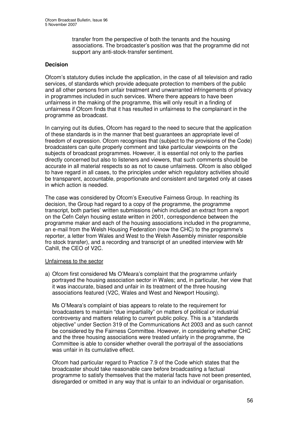transfer from the perspective of both the tenants and the housing associations. The broadcaster's position was that the programme did not support any anti-stock-transfer sentiment.

#### **Decision**

Ofcom's statutory duties include the application, in the case of all television and radio services, of standards which provide adequate protection to members of the public and all other persons from unfair treatment and unwarranted infringements of privacy in programmes included in such services. Where there appears to have been unfairness in the making of the programme, this will only result in a finding of unfairness if Ofcom finds that it has resulted in unfairness to the complainant in the programme as broadcast.

In carrying out its duties, Ofcom has regard to the need to secure that the application of these standards is in the manner that best guarantees an appropriate level of freedom of expression. Ofcom recognises that (subject to the provisions of the Code) broadcasters can quite properly comment and take particular viewpoints on the subjects of broadcast programmes. However, it is essential not only to the parties directly concerned but also to listeners and viewers, that such comments should be accurate in all material respects so as not to cause unfairness. Ofcom is also obliged to have regard in all cases, to the principles under which regulatory activities should be transparent, accountable, proportionate and consistent and targeted only at cases in which action is needed.

The case was considered by Ofcom's Executive Fairness Group. In reaching its decision, the Group had regard to a copy of the programme, the programme transcript, both parties' written submissions (which included an extract from a report on the Cefn Celyn housing estate written in 2001, correspondence between the programme maker and each of the housing associations included in the programme, an e-mail from the Welsh Housing Federation (now the CHC) to the programme's reporter, a letter from Wales and West to the Welsh Assembly minister responsible fro stock transfer), and a recording and transcript of an unedited interview with Mr Cahill, the CEO of V2C.

#### Unfairness to the sector

a) Ofcom first considered Ms O'Meara's complaint that the programme unfairly portrayed the housing association sector in Wales; and, in particular, her view that it was inaccurate, biased and unfair in its treatment of the three housing associations featured (V2C, Wales and West and Newport Housing).

Ms O'Meara's complaint of bias appears to relate to the requirement for broadcasters to maintain "due impartiality" on matters of political or industrial controversy and matters relating to current public policy. This is a "standards objective" under Section 319 of the Communications Act 2003 and as such cannot be considered by the Fairness Committee. However, in considering whether CHC and the three housing associations were treated unfairly in the programme, the Committee is able to consider whether overall the portrayal of the associations was unfair in its cumulative effect.

Ofcom had particular regard to Practice 7.9 of the Code which states that the broadcaster should take reasonable care before broadcasting a factual programme to satisfy themselves that the material facts have not been presented, disregarded or omitted in any way that is unfair to an individual or organisation.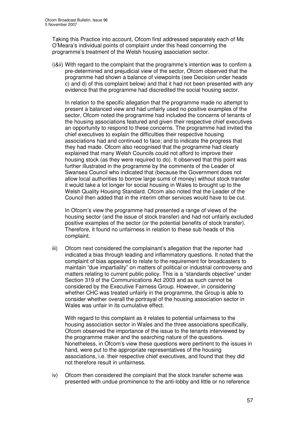Taking this Practice into account, Ofcom first addressed separately each of Ms O'Meara's individual points of complaint under this head concerning the programme's treatment of the Welsh housing association sector.

i)&ii) With regard to the complaint that the programme's intention was to confirm a pre-determined and prejudicial view of the sector, Ofcom observed that the programme had shown a balance of viewpoints (see Decision under heads c) and d) of this complaint below) and that it had not been presented with any evidence that the programme had discredited the social housing sector.

In relation to the specific allegation that the programme made no attempt to present a balanced view and had unfairly used no positive examples of the sector, Ofcom noted the programme had included the concerns of tenants of the housing associations featured and given their respective chief executives an opportunity to respond to these concerns. The programme had invited the chief executives to explain the difficulties their respective housing associations had and continued to face; and to indicate the progress that they had made. Ofcom also recognised that the programme had clearly explained that many Welsh Councils could not afford to improve their housing stock (as they were required to do). It observed that this point was further illustrated in the programme by the comments of the Leader of Swansea Council who indicated that (because the Government does not allow local authorities to borrow large sums of money) without stock transfer it would take a lot longer for social housing in Wales to brought up to the Welsh Quality Housing Standard. Ofcom also noted that the Leader of the Council then added that in the interim other services would have to be cut.

In Ofcom's view the programme had presented a range of views of the housing sector (and the issue of stock transfer) and had not unfairly excluded positive examples of the sector (or the potential benefits of stock transfer). Therefore, it found no unfairness in relation to these sub heads of this complaint.

iii) Ofcom next considered the complainant's allegation that the reporter had indicated a bias through leading and inflammatory questions. It noted that the complaint of bias appeared to relate to the requirement for broadcasters to maintain "due impartiality" on matters of political or industrial controversy and matters relating to current public policy. This is a "standards objective" under Section 319 of the Communications Act 2003 and as such cannot be considered by the Executive Fairness Group. However, in considering whether CHC was treated unfairly in the programme, the Group is able to consider whether overall the portrayal of the housing association sector in Wales was unfair in its cumulative effect.

With regard to this complaint as it relates to potential unfairness to the housing association sector in Wales and the three associations specifically, Ofcom observed the importance of the issue to the tenants interviewed by the programme maker and the searching nature of the questions. Nonetheless, in Ofcom's view these questions were pertinent to the issues in hand, were put to the appropriate representatives of the housing associations, i.e. their respective chief executives, and found that they did not therefore result in unfairness.

iv) Ofcom then considered the complaint that the stock transfer scheme was presented with undue prominence to the anti-lobby and little or no reference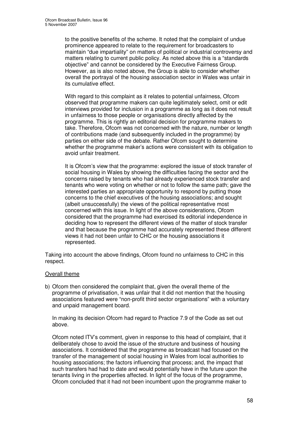to the positive benefits of the scheme. It noted that the complaint of undue prominence appeared to relate to the requirement for broadcasters to maintain "due impartiality" on matters of political or industrial controversy and matters relating to current public policy. As noted above this is a "standards objective" and cannot be considered by the Executive Fairness Group. However, as is also noted above, the Group is able to consider whether overall the portrayal of the housing association sector in Wales was unfair in its cumulative effect.

With regard to this complaint as it relates to potential unfairness, Ofcom observed that programme makers can quite legitimately select, omit or edit interviews provided for inclusion in a programme as long as it does not result in unfairness to those people or organisations directly affected by the programme. This is rightly an editorial decision for programme makers to take. Therefore, Ofcom was not concerned with the nature, number or length of contributions made (and subsequently included in the programme) by parties on either side of the debate. Rather Ofcom sought to determine whether the programme maker's actions were consistent with its obligation to avoid unfair treatment.

It is Ofcom's view that the programme: explored the issue of stock transfer of social housing in Wales by showing the difficulties facing the sector and the concerns raised by tenants who had already experienced stock transfer and tenants who were voting on whether or not to follow the same path; gave the interested parties an appropriate opportunity to respond by putting those concerns to the chief executives of the housing associations; and sought (albeit unsuccessfully) the views of the political representative most concerned with this issue. In light of the above considerations, Ofcom considered that the programme had exercised its editorial independence in deciding how to represent the different views of the matter of stock transfer and that because the programme had accurately represented these different views it had not been unfair to CHC or the housing associations it represented.

Taking into account the above findings, Ofcom found no unfairness to CHC in this respect.

#### Overall theme

b) Ofcom then considered the complaint that, given the overall theme of the programme of privatisation, it was unfair that it did not mention that the housing associations featured were "non-profit third sector organisations" with a voluntary and unpaid management board.

In making its decision Ofcom had regard to Practice 7.9 of the Code as set out above.

Ofcom noted ITV's comment, given in response to this head of complaint, that it deliberately chose to avoid the issue of the structure and business of housing associations. It considered that the programme as broadcast had focused on the transfer of the management of social housing in Wales from local authorities to housing associations; the factors influencing that process; and, the impact that such transfers had had to date and would potentially have in the future upon the tenants living in the properties affected. In light of the focus of the programme, Ofcom concluded that it had not been incumbent upon the programme maker to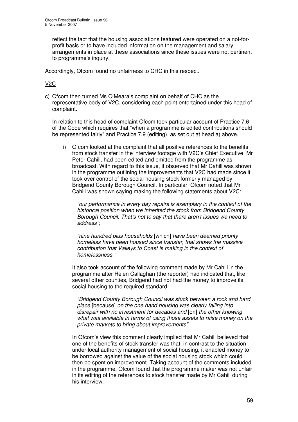reflect the fact that the housing associations featured were operated on a not-forprofit basis or to have included information on the management and salary arrangements in place at these associations since these issues were not pertinent to programme's inquiry.

Accordingly, Ofcom found no unfairness to CHC in this respect.

# V2C

c) Ofcom then turned Ms O'Meara's complaint on behalf of CHC as the representative body of V2C, considering each point entertained under this head of complaint.

In relation to this head of complaint Ofcom took particular account of Practice 7.6 of the Code which requires that "when a programme is edited contributions should be represented fairly" and Practice 7.9 (editing), as set out at head a) above.

i) Ofcom looked at the complaint that all positive references to the benefits from stock transfer in the interview footage with V2C's Chief Executive, Mr Peter Cahill, had been edited and omitted from the programme as broadcast. With regard to this issue, it observed that Mr Cahill was shown in the programme outlining the improvements that V2C had made since it took over control of the social housing stock formerly managed by Bridgend County Borough Council. In particular, Ofcom noted that Mr Cahill was shown saying making the following statements about V2C:

*"our performance in every day repairs is exemplary in the context of the historical position when we inherited the stock from Bridgend County Borough Council. That's not to say that there aren't issues we need to address"*;

*"nine hundred plus households* [which] *have been deemed priority homeless have been housed since transfer, that shows the massive contribution that Valleys to Coast is making in the context of homelessness."*

It also took account of the following comment made by Mr Cahill in the programme after Helen Callaghan (the reporter) had indicated that, like several other counties, Bridgend had not had the money to improve its social housing to the required standard:

*"Bridgend County Borough Council was stuck between a rock and hard place* [because] *on the one hand housing was clearly falling into disrepair with no investment for decades and* [on] *the other knowing what was available in terms of using those assets to raise money on the private markets to bring about improvements".*

In Ofcom's view this comment clearly implied that Mr Cahill believed that one of the benefits of stock transfer was that, in contrast to the situation under local authority management of social housing, it enabled money to be borrowed against the value of the social housing stock which could then be spent on improvement. Taking account of the comments included in the programme, Ofcom found that the programme maker was not unfair in its editing of the references to stock transfer made by Mr Cahill during his interview.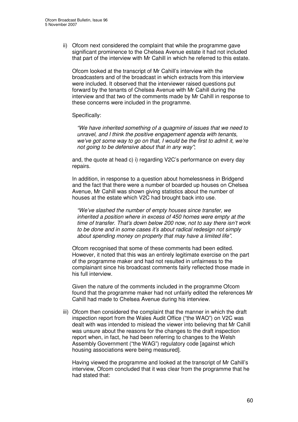ii) Ofcom next considered the complaint that while the programme gave significant prominence to the Chelsea Avenue estate it had not included that part of the interview with Mr Cahill in which he referred to this estate.

Ofcom looked at the transcript of Mr Cahill's interview with the broadcasters and of the broadcast in which extracts from this interview were included. It observed that the interviewer raised questions put forward by the tenants of Chelsea Avenue with Mr Cahill during the interview and that two of the comments made by Mr Cahill in response to these concerns were included in the programme.

#### Specifically:

*"We have inherited something of a quagmire of issues that we need to unravel, and I think the positive engagement agenda with tenants, we've got some way to go on that, I would be the first to admit it, we're not going to be defensive about that in any way"*;

and, the quote at head c) i) regarding V2C's performance on every day repairs.

In addition, in response to a question about homelessness in Bridgend and the fact that there were a number of boarded up houses on Chelsea Avenue, Mr Cahill was shown giving statistics about the number of houses at the estate which V2C had brought back into use.

*"We've slashed the number of empty houses since transfer, we inherited a position where in excess of 450 homes were empty at the time of transfer. That's down below 200 now, not to say there isn't work to be done and in some cases it's about radical redesign not simply about spending money on property that may have a limited life".*

Ofcom recognised that some of these comments had been edited. However, it noted that this was an entirely legitimate exercise on the part of the programme maker and had not resulted in unfairness to the complainant since his broadcast comments fairly reflected those made in his full interview.

Given the nature of the comments included in the programme Ofcom found that the programme maker had not unfairly edited the references Mr Cahill had made to Chelsea Avenue during his interview.

iii) Ofcom then considered the complaint that the manner in which the draft inspection report from the Wales Audit Office ("the WAO") on V2C was dealt with was intended to mislead the viewer into believing that Mr Cahill was unsure about the reasons for the changes to the draft inspection report when, in fact, he had been referring to changes to the Welsh Assembly Government ("the WAG") regulatory code [against which housing associations were being measured].

Having viewed the programme and looked at the transcript of Mr Cahill's interview, Ofcom concluded that it was clear from the programme that he had stated that: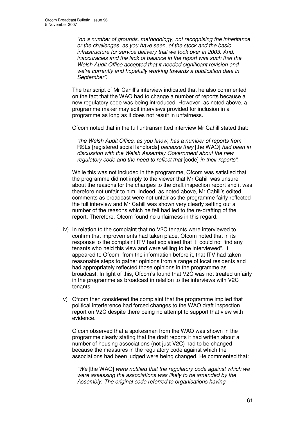*"on a number of grounds, methodology, not recognising the inheritance or the challenges, as you have seen, of the stock and the basic infrastructure for service delivery that we took over in 2003. And, inaccuracies and the lack of balance in the report was such that the Welsh Audit Office accepted that it needed significant revision and we're currently and hopefully working towards a publication date in September".*

The transcript of Mr Cahill's interview indicated that he also commented on the fact that the WAO had to change a number of reports because a new regulatory code was being introduced. However, as noted above, a programme maker may edit interviews provided for inclusion in a programme as long as it does not result in unfairness.

Ofcom noted that in the full untransmitted interview Mr Cahill stated that:

*"the Welsh Audit Office, as you know, has a number of reports from* RSLs [registered social landlords] *because they* [the WAO] *had been in discussion with the Welsh Assembly Government about the new regulatory code and the need to reflect that* [code] *in their reports".*

While this was not included in the programme, Ofcom was satisfied that the programme did not imply to the viewer that Mr Cahill was unsure about the reasons for the changes to the draft inspection report and it was therefore not unfair to him. Indeed, as noted above, Mr Cahill's edited comments as broadcast were not unfair as the programme fairly reflected the full interview and Mr Cahill was shown very clearly setting out a number of the reasons which he felt had led to the re-drafting of the report. Therefore, Ofcom found no unfairness in this regard.

- iv) In relation to the complaint that no V2C tenants were interviewed to confirm that improvements had taken place, Ofcom noted that in its response to the complaint ITV had explained that it "could not find any tenants who held this view and were willing to be interviewed". It appeared to Ofcom, from the information before it, that ITV had taken reasonable steps to gather opinions from a range of local residents and had appropriately reflected those opinions in the programme as broadcast. In light of this, Ofcom's found that V2C was not treated unfairly in the programme as broadcast in relation to the interviews with V2C tenants.
- v) Ofcom then considered the complaint that the programme implied that political interference had forced changes to the WAO draft inspection report on V2C despite there being no attempt to support that view with evidence.

Ofcom observed that a spokesman from the WAO was shown in the programme clearly stating that the draft reports it had written about a number of housing associations (not just V2C) had to be changed because the measures in the regulatory code against which the associations had been judged were being changed. He commented that:

*"We* [the WAO] *were notified that the regulatory code against which we were assessing the associations was likely to be amended by the Assembly. The original code referred to organisations having*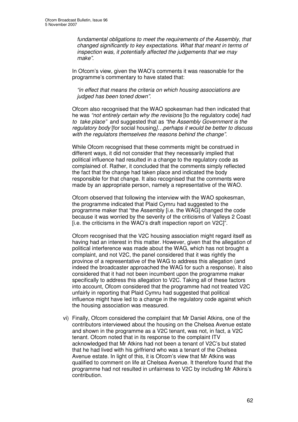*fundamental obligations to meet the requirements of the Assembly, that changed significantly to key expectations. What that meant in terms of inspection was, it potentially affected the judgements that we may make"*.

In Ofcom's view, given the WAO's comments it was reasonable for the programme's commentary to have stated that:

*"in effect that means the criteria on which housing associations are judged has been toned down".*

Ofcom also recognised that the WAO spokesman had then indicated that he was *"not entirely certain why the revisions* [to the regulatory code] *had to take place"* and suggested that as *"the Assembly Government is the regulatory body* [for social housing*]…perhaps it would be better to discuss with the regulators themselves the reasons behind the change"*.

While Ofcom recognised that these comments might be construed in different ways, it did not consider that they necessarily implied that political influence had resulted in a change to the regulatory code as complained of. Rather, it concluded that the comments simply reflected the fact that the change had taken place and indicated the body responsible for that change. It also recognised that the comments were made by an appropriate person, namely a representative of the WAO.

Ofcom observed that following the interview with the WAO spokesman, the programme indicated that Plaid Cymru had suggested to the programme maker that "the Assembly [i.e. the WAG] changed the code because it was worried by the severity of the criticisms of Valleys 2 Coast [i.e. the criticisms in the WAO's draft inspection report on V2C]".

Ofcom recognised that the V2C housing association might regard itself as having had an interest in this matter. However, given that the allegation of political interference was made about the WAG, which has not brought a complaint, and not V2C, the panel considered that it was rightly the province of a representative of the WAG to address this allegation (and indeed the broadcaster approached the WAG for such a response). It also considered that it had not been incumbent upon the programme maker specifically to address this allegation to V2C. Taking all of these factors into account, Ofcom considered that the programme had not treated V2C unfairly in reporting that Plaid Cymru had suggested that political influence might have led to a change in the regulatory code against which the housing association was measured.

vi) Finally, Ofcom considered the complaint that Mr Daniel Atkins, one of the contributors interviewed about the housing on the Chelsea Avenue estate and shown in the programme as a V2C tenant, was not, in fact, a V2C tenant. Ofcom noted that in its response to the complaint ITV acknowledged that Mr Atkins had not been a tenant of V2C's but stated that he had lived with his girlfriend who was a tenant of the Chelsea Avenue estate. In light of this, it is Ofcom's view that Mr Atkins was qualified to comment on life at Chelsea Avenue. It therefore found that the programme had not resulted in unfairness to V2C by including Mr Atkins's contribution.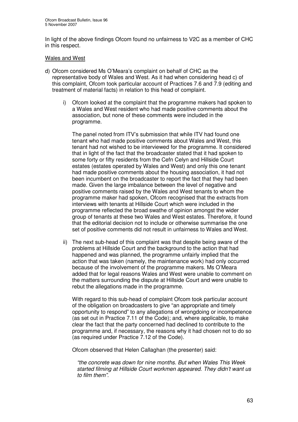In light of the above findings Ofcom found no unfairness to V2C as a member of CHC in this respect.

#### Wales and West

- d) Ofcom considered Ms O'Meara's complaint on behalf of CHC as the representative body of Wales and West. As it had when considering head c) of this complaint, Ofcom took particular account of Practices 7.6 and 7.9 (editing and treatment of material facts) in relation to this head of complaint.
	- i) Ofcom looked at the complaint that the programme makers had spoken to a Wales and West resident who had made positive comments about the association, but none of these comments were included in the programme.

The panel noted from ITV's submission that while ITV had found one tenant who had made positive comments about Wales and West, this tenant had not wished to be interviewed for the programme. It considered that in light of the fact that the broadcaster stated that it had spoken to some forty or fifty residents from the Cefn Celyn and Hillside Court estates (estates operated by Wales and West) and only this one tenant had made positive comments about the housing association, it had not been incumbent on the broadcaster to report the fact that they had been made. Given the large imbalance between the level of negative and positive comments raised by the Wales and West tenants to whom the programme maker had spoken, Ofcom recognised that the extracts from interviews with tenants at Hillside Court which were included in the programme reflected the broad swathe of opinion amongst the wider group of tenants at these two Wales and West estates. Therefore, it found that the editorial decision not to include or otherwise summarise the one set of positive comments did not result in unfairness to Wales and West.

ii) The next sub-head of this complaint was that despite being aware of the problems at Hillside Court and the background to the action that had happened and was planned, the programme unfairly implied that the action that was taken (namely, the maintenance work) had only occurred because of the involvement of the programme makers. Ms O'Meara added that for legal reasons Wales and West were unable to comment on the matters surrounding the dispute at Hillside Court and were unable to rebut the allegations made in the programme.

With regard to this sub-head of complaint Ofcom took particular account of the obligation on broadcasters to give "an appropriate and timely opportunity to respond" to any allegations of wrongdoing or incompetence (as set out in Practice 7.11 of the Code); and, where applicable, to make clear the fact that the party concerned had declined to contribute to the programme and, if necessary, the reasons why it had chosen not to do so (as required under Practice 7.12 of the Code).

Ofcom observed that Helen Callaghan (the presenter) said:

*"the concrete was down for nine months. But when Wales This Week started filming at Hillside Court workmen appeared. They didn't want us to film them".*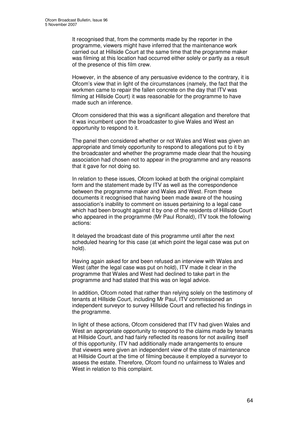It recognised that, from the comments made by the reporter in the programme, viewers might have inferred that the maintenance work carried out at Hillside Court at the same time that the programme maker was filming at this location had occurred either solely or partly as a result of the presence of this film crew.

However, in the absence of any persuasive evidence to the contrary, it is Ofcom's view that in light of the circumstances (namely, the fact that the workmen came to repair the fallen concrete on the day that ITV was filming at Hillside Court) it was reasonable for the programme to have made such an inference.

Ofcom considered that this was a significant allegation and therefore that it was incumbent upon the broadcaster to give Wales and West an opportunity to respond to it.

The panel then considered whether or not Wales and West was given an appropriate and timely opportunity to respond to allegations put to it by the broadcaster and whether the programme made clear that the housing association had chosen not to appear in the programme and any reasons that it gave for not doing so.

In relation to these issues, Ofcom looked at both the original complaint form and the statement made by ITV as well as the correspondence between the programme maker and Wales and West. From these documents it recognised that having been made aware of the housing association's inability to comment on issues pertaining to a legal case which had been brought against it by one of the residents of Hillside Court who appeared in the programme (Mr Paul Ronald), ITV took the following actions:

It delayed the broadcast date of this programme until after the next scheduled hearing for this case (at which point the legal case was put on hold).

Having again asked for and been refused an interview with Wales and West (after the legal case was put on hold), ITV made it clear in the programme that Wales and West had declined to take part in the programme and had stated that this was on legal advice.

In addition, Ofcom noted that rather than relying solely on the testimony of tenants at Hillside Court, including Mr Paul, ITV commissioned an independent surveyor to survey Hillside Court and reflected his findings in the programme.

In light of these actions, Ofcom considered that ITV had given Wales and West an appropriate opportunity to respond to the claims made by tenants at Hillside Court, and had fairly reflected its reasons for not availing itself of this opportunity. ITV had additionally made arrangements to ensure that viewers were given an independent view of the state of maintenance at Hillside Court at the time of filming because it employed a surveyor to assess the estate. Therefore, Ofcom found no unfairness to Wales and West in relation to this complaint.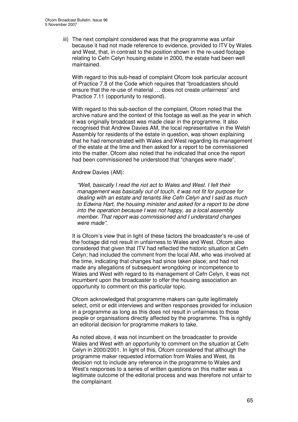iii) The next complaint considered was that the programme was unfair because it had not made reference to evidence, provided to ITV by Wales and West, that, in contrast to the position shown in the re-used footage relating to Cefn Celyn housing estate in 2000, the estate had been well maintained.

With regard to this sub-head of complaint Ofcom took particular account of Practice 7.8 of the Code which requires that "broadcasters should ensure that the re-use of material … does not create unfairness" and Practice 7.11 (opportunity to respond).

With regard to this sub-section of the complaint, Ofcom noted that the archive nature and the context of this footage as well as the year in which it was originally broadcast was made clear in the programme. It also recognised that Andrew Davies AM, the local representative in the Welsh Assembly for residents of the estate in question, was shown explaining that he had remonstrated with Wales and West regarding its management of the estate at the time and then asked for a report to be commissioned into the matter. Ofcom also noted that he indicated that once the report had been commissioned he understood that "changes were made".

#### Andrew Davies (AM):

*"Well, basically I read the riot act to Wales and West. I felt their management was basically out of touch, it was not fit for purpose for dealing with an estate and tenants like Cefn Celyn and I said as much to Edwina Hart, the housing minister and asked for a report to be done into the operation because I was not happy, as a local assembly member. That report was commissioned and I understand changes were made".*

It is Ofcom's view that in light of these factors the broadcaster's re-use of the footage did not result in unfairness to Wales and West. Ofcom also considered that given that ITV had reflected the historic situation at Cefn Celyn; had included the comment from the local AM, who was involved at the time, indicating that changes had since taken place; and had not made any allegations of subsequent wrongdoing or incompetence to Wales and West with regard to its management of Cefn Celyn, it was not incumbent upon the broadcaster to offer the housing association an opportunity to comment on this particular topic.

Ofcom acknowledged that programme makers can quite legitimately select, omit or edit interviews and written responses provided for inclusion in a programme as long as this does not result in unfairness to those people or organisations directly affected by the programme. This is rightly an editorial decision for programme makers to take.

As noted above, it was not incumbent on the broadcaster to provide Wales and West with an opportunity to comment on the situation at Cefn Celyn in 2000/2001. In light of this, Ofcom considered that although the programme maker requested information from Wales and West, its decision not to include any reference in the programme to Wales and West's responses to a series of written questions on this matter was a legitimate outcome of the editorial process and was therefore not unfair to the complainant.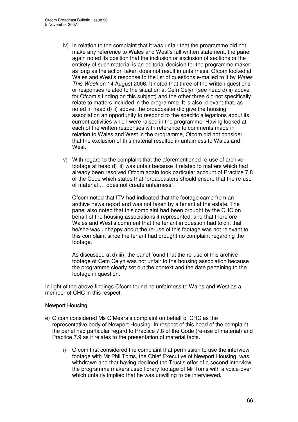- iv) In relation to the complaint that it was unfair that the programme did not make any reference to Wales and West's full written statement, the panel again noted its position that the inclusion or exclusion of sections or the entirety of such material is an editorial decision for the programme maker as long as the action taken does not result in unfairness. Ofcom looked at Wales and West's response to the list of questions e-mailed to it by *Wales This Week* on 14 August 2006. It noted that three of the written questions or responses related to the situation at Cefn Celyn (see head d) ii) above for Ofcom's finding on this subject) and the other three did not specifically relate to matters included in the programme. It is also relevant that, as noted in head d) ii) above, the broadcaster did give the housing association an opportunity to respond to the specific allegations about its current activities which were raised in the programme. Having looked at each of the written responses with reference to comments made in relation to Wales and West in the programme, Ofcom did not consider that the exclusion of this material resulted in unfairness to Wales and **West**
- v) With regard to the complaint that the aforementioned re-use of archive footage at head d) iii) was unfair because it related to matters which had already been resolved Ofcom again took particular account of Practice 7.8 of the Code which states that "broadcasters should ensure that the re-use of material … does not create unfairness".

Ofcom noted that ITV had indicated that the footage came from an archive news report and was not taken by a tenant at the estate. The panel also noted that this complaint had been brought by the CHC on behalf of the housing associations it represented, and that therefore Wales and West's comment that the tenant in question had told it that he/she was unhappy about the re-use of this footage was not relevant to this complaint since the tenant had brought no complaint regarding the footage.

As discussed at d) iii), the panel found that the re-use of this archive footage of Cefn Celyn was not unfair to the housing association because the programme clearly set out the context and the date pertaining to the footage in question.

In light of the above findings Ofcom found no unfairness to Wales and West as a member of CHC in this respect.

#### Newport Housing

- e) Ofcom considered Ms O'Meara's complaint on behalf of CHC as the representative body of Newport Housing. In respect of this head of the complaint the panel had particular regard to Practice 7.8 of the Code (re-use of material) and Practice 7.9 as it relates to the presentation of material facts.
	- i) Ofcom first considered the complaint that permission to use the interview footage with Mr Phil Toms, the Chief Executive of Newport Housing, was withdrawn and that having declined the Trust's offer of a second interview the programme makers used library footage of Mr Toms with a voice-over which unfairly implied that he was unwilling to be interviewed.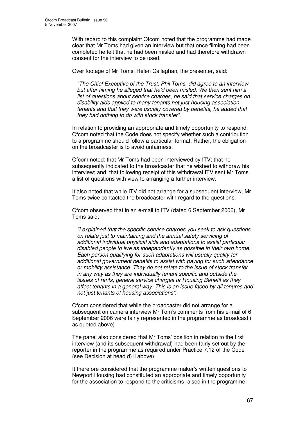With regard to this complaint Ofcom noted that the programme had made clear that Mr Toms had given an interview but that once filming had been completed he felt that he had been misled and had therefore withdrawn consent for the interview to be used.

Over footage of Mr Toms, Helen Callaghan, the presenter, said:

*"The Chief Executive of the Trust, Phil Toms, did agree to an interview but after filming he alleged that he'd been misled. We then sent him a list of questions about service charges, he said that service charges on disability aids applied to many tenants not just housing association tenants and that they were usually covered by benefits, he added that they had nothing to do with stock transfer".*

In relation to providing an appropriate and timely opportunity to respond, Ofcom noted that the Code does not specify whether such a contribution to a programme should follow a particular format. Rather, the obligation on the broadcaster is to avoid unfairness.

Ofcom noted: that Mr Toms had been interviewed by ITV; that he subsequently indicated to the broadcaster that he wished to withdraw his interview; and, that following receipt of this withdrawal ITV sent Mr Toms a list of questions with view to arranging a further interview.

It also noted that while ITV did not arrange for a subsequent interview, Mr Toms twice contacted the broadcaster with regard to the questions.

Ofcom observed that in an e-mail to ITV (dated 6 September 2006), Mr Toms said:

*"I explained that the specific service charges you seek to ask questions on relate just to maintaining and the annual safety servicing of additional individual physical aids and adaptations to assist particular disabled people to live as independently as possible in their own home. Each person qualifying for such adaptations will usually qualify for additional government benefits to assist with paying for such attendance or mobility assistance. They do not relate to the issue of stock transfer in any way as they are individually tenant specific and outside the issues of rents, general service charges or Housing Benefit as they affect tenants in a general way. This is an issue faced by all tenures and not just tenants of housing associations"*.

Ofcom considered that while the broadcaster did not arrange for a subsequent on camera interview Mr Tom's comments from his e-mail of 6 September 2006 were fairly represented in the programme as broadcast ( as quoted above).

The panel also considered that Mr Toms' position in relation to the first interview (and its subsequent withdrawal) had been fairly set out by the reporter in the programme as required under Practice 7.12 of the Code (see Decision at head d) ii above).

It therefore considered that the programme maker's written questions to Newport Housing had constituted an appropriate and timely opportunity for the association to respond to the criticisms raised in the programme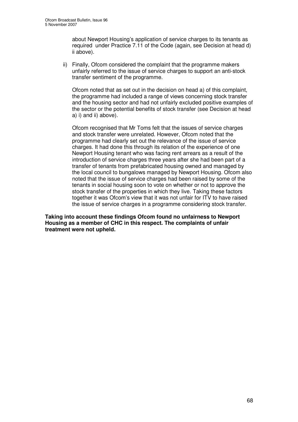about Newport Housing's application of service charges to its tenants as required under Practice 7.11 of the Code (again, see Decision at head d) ii above).

ii) Finally, Ofcom considered the complaint that the programme makers unfairly referred to the issue of service charges to support an anti-stock transfer sentiment of the programme.

Ofcom noted that as set out in the decision on head a) of this complaint, the programme had included a range of views concerning stock transfer and the housing sector and had not unfairly excluded positive examples of the sector or the potential benefits of stock transfer (see Decision at head a) i) and ii) above).

Ofcom recognised that Mr Toms felt that the issues of service charges and stock transfer were unrelated. However, Ofcom noted that the programme had clearly set out the relevance of the issue of service charges. It had done this through its relation of the experience of one Newport Housing tenant who was facing rent arrears as a result of the introduction of service charges three years after she had been part of a transfer of tenants from prefabricated housing owned and managed by the local council to bungalows managed by Newport Housing. Ofcom also noted that the issue of service charges had been raised by some of the tenants in social housing soon to vote on whether or not to approve the stock transfer of the properties in which they live. Taking these factors together it was Ofcom's view that it was not unfair for ITV to have raised the issue of service charges in a programme considering stock transfer.

**Taking into account these findings Ofcom found no unfairness to Newport Housing as a member of CHC in this respect. The complaints of unfair treatment were not upheld.**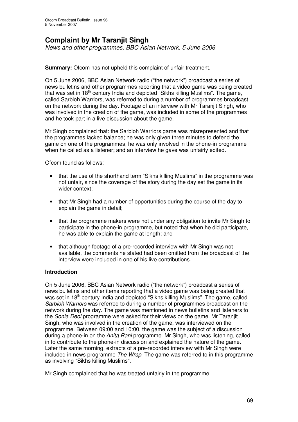# **Complaint by Mr Taranjit Singh**

*News and other programmes, BBC Asian Network, 5 June 2006*

**Summary:** Ofcom has not upheld this complaint of unfair treatment.

On 5 June 2006, BBC Asian Network radio ("the network") broadcast a series of news bulletins and other programmes reporting that a video game was being created that was set in 18<sup>th</sup> century India and depicted "Sikhs killing Muslims". The game, called Sarbloh Warriors, was referred to during a number of programmes broadcast on the network during the day. Footage of an interview with Mr Taranjit Singh, who was involved in the creation of the game, was included in some of the programmes and he took part in a live discussion about the game.

Mr Singh complained that: the Sarbloh Warriors game was misrepresented and that the programmes lacked balance; he was only given three minutes to defend the game on one of the programmes; he was only involved in the phone-in programme when he called as a listener; and an interview he gave was unfairly edited.

Ofcom found as follows:

- that the use of the shorthand term "Sikhs killing Muslims" in the programme was not unfair, since the coverage of the story during the day set the game in its wider context;
- that Mr Singh had a number of opportunities during the course of the day to explain the game in detail;
- that the programme makers were not under any obligation to invite Mr Singh to participate in the phone-in programme, but noted that when he did participate, he was able to explain the game at length; and
- that although footage of a pre-recorded interview with Mr Singh was not available, the comments he stated had been omitted from the broadcast of the interview were included in one of his live contributions.

#### **Introduction**

On 5 June 2006, BBC Asian Network radio ("the network") broadcast a series of news bulletins and other items reporting that a video game was being created that was set in 18<sup>th</sup> century India and depicted "Sikhs killing Muslims". The game, called *Sarbloh Warriors* was referred to during a number of programmes broadcast on the network during the day. The game was mentioned in news bulletins and listeners to the *Sonia Deol* programme were asked for their views on the game. Mr Taranjit Singh, who was involved in the creation of the game, was interviewed on the programme. Between 09:00 and 10:00, the game was the subject of a discussion during a phone-in on the *Anita Rani* programme. Mr Singh, who was listening, called in to contribute to the phone-in discussion and explained the nature of the game. Later the same morning, extracts of a pre-recorded interview with Mr Singh were included in news programme *The Wrap*. The game was referred to in this programme as involving "Sikhs killing Muslims".

Mr Singh complained that he was treated unfairly in the programme.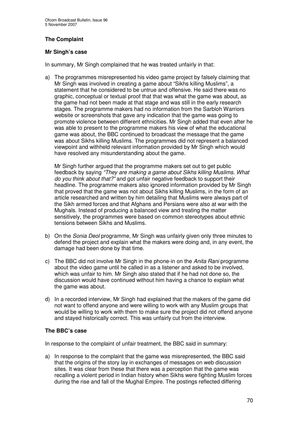# **The Complaint**

# **Mr Singh's case**

In summary, Mr Singh complained that he was treated unfairly in that:

a) The programmes misrepresented his video game project by falsely claiming that Mr Singh was involved in creating a game about "Sikhs killing Muslims", a statement that he considered to be untrue and offensive. He said there was no graphic, conceptual or textual proof that that was what the game was about, as the game had not been made at that stage and was still in the early research stages. The programme makers had no information from the Sarbloh Warriors website or screenshots that gave any indication that the game was going to promote violence between different ethnicities. Mr Singh added that even after he was able to present to the programme makers his view of what the educational game was about, the BBC continued to broadcast the message that the game was about Sikhs killing Muslims. The programmes did not represent a balanced viewpoint and withheld relevant information provided by Mr Singh which would have resolved any misunderstanding about the game.

Mr Singh further argued that the programme makers set out to get public feedback by saying *"They are making a game about Sikhs killing Muslims. What do you think about that?"* and got unfair negative feedback to support their headline. The programme makers also ignored information provided by Mr Singh that proved that the game was not about Sikhs killing Muslims, in the form of an article researched and written by him detailing that Muslims were always part of the Sikh armed forces and that Afghans and Persians were also at war with the Mughals. Instead of producing a balanced view and treating the matter sensitively, the programmes were based on common stereotypes about ethnic tensions between Sikhs and Muslims.

- b) On the *Sonia Deol* programme, Mr Singh was unfairly given only three minutes to defend the project and explain what the makers were doing and, in any event, the damage had been done by that time.
- c) The BBC did not involve Mr Singh in the phone-in on the *Anita Rani* programme about the video game until he called in as a listener and asked to be involved, which was unfair to him. Mr Singh also stated that if he had not done so, the discussion would have continued without him having a chance to explain what the game was about.
- d) In a recorded interview, Mr Singh had explained that the makers of the game did not want to offend anyone and were willing to work with any Muslim groups that would be willing to work with them to make sure the project did not offend anyone and stayed historically correct. This was unfairly cut from the interview.

# **The BBC's case**

In response to the complaint of unfair treatment, the BBC said in summary:

a) In response to the complaint that the game was misrepresented, the BBC said that the origins of the story lay in exchanges of messages on web discussion sites. It was clear from these that there was a perception that the game was recalling a violent period in Indian history when Sikhs were fighting Muslim forces during the rise and fall of the Mughal Empire. The postings reflected differing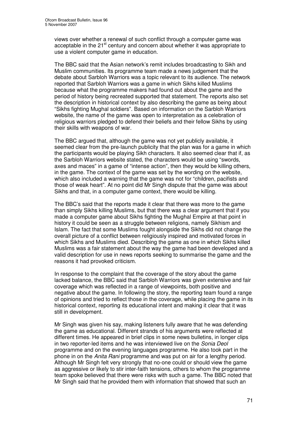views over whether a renewal of such conflict through a computer game was acceptable in the 21<sup>st</sup> century and concern about whether it was appropriate to use a violent computer game in education.

The BBC said that the Asian network's remit includes broadcasting to Sikh and Muslim communities. Its programme team made a news judgement that the debate about Sarbloh Warriors was a topic relevant to its audience. The network reported that Sarbloh Warriors was a game in which Sikhs killed Muslims because what the programme makers had found out about the game and the period of history being recreated supported that statement. The reports also set the description in historical context by also describing the game as being about "Sikhs fighting Mughal soldiers". Based on information on the Sarbloh Warriors website, the name of the game was open to interpretation as a celebration of religious warriors pledged to defend their beliefs and their fellow Sikhs by using their skills with weapons of war.

The BBC argued that, although the game was not yet publicly available, it seemed clear from the pre-launch publicity that the plan was for a game in which the participants would be playing Sikh characters. It also seemed clear that if, as the Sarbloh Warriors website stated, the characters would be using "swords, axes and maces" in a game of "intense action", then they would be killing others, in the game. The context of the game was set by the wording on the website, which also included a warning that the game was not for "children, pacifists and those of weak heart". At no point did Mr Singh dispute that the game was about Sikhs and that, in a computer game context, there would be killing.

The BBC's said that the reports made it clear that there was more to the game than simply Sikhs killing Muslims, but that there was a clear argument that if you made a computer game about Sikhs fighting the Mughal Empire at that point in history it could be seen as a struggle between religions, namely Sikhism and Islam. The fact that some Muslims fought alongside the Sikhs did not change the overall picture of a conflict between religiously inspired and motivated forces in which Sikhs and Muslims died. Describing the game as one in which Sikhs killed Muslims was a fair statement about the way the game had been developed and a valid description for use in news reports seeking to summarise the game and the reasons it had provoked criticism.

In response to the complaint that the coverage of the story about the game lacked balance, the BBC said that Sarbloh Warriors was given extensive and fair coverage which was reflected in a range of viewpoints, both positive and negative about the game. In following the story, the reporting team found a range of opinions and tried to reflect those in the coverage, while placing the game in its historical context, reporting its educational intent and making it clear that it was still in development.

Mr Singh was given his say, making listeners fully aware that he was defending the game as educational. Different strands of his arguments were reflected at different times. He appeared in brief clips in some news bulletins, in longer clips in two reporter-led items and he was interviewed live on the *Sonia Deol* programme and on the evening languages programme. He also took part in the phone in on the *Anita Rani* programme and was put on air for a lengthy period. Although Mr Singh felt very strongly that no-one could or should view the game as aggressive or likely to stir inter-faith tensions, others to whom the programme team spoke believed that there were risks with such a game. The BBC noted that Mr Singh said that he provided them with information that showed that such an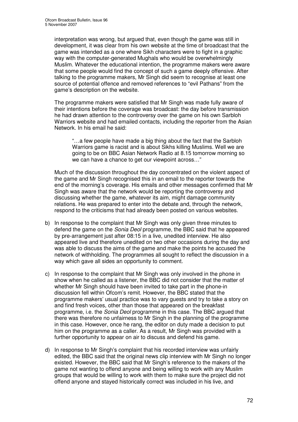interpretation was wrong, but argued that, even though the game was still in development, it was clear from his own website at the time of broadcast that the game was intended as a one where Sikh characters were to fight in a graphic way with the computer-generated Mughals who would be overwhelmingly Muslim. Whatever the educational intention, the programme makers were aware that some people would find the concept of such a game deeply offensive. After talking to the programme makers, Mr Singh did seem to recognise at least one source of potential offence and removed references to "evil Pathans" from the game's description on the website.

The programme makers were satisfied that Mr Singh was made fully aware of their intentions before the coverage was broadcast: the day before transmission he had drawn attention to the controversy over the game on his own Sarbloh Warriors website and had emailed contacts, including the reporter from the Asian Network. In his email he said:

"…a few people have made a big thing about the fact that the Sarbloh Warriors game is racist and is about Sikhs killing Muslims. Well we are going to be on BBC Asian Network Radio at 8.15 tomorrow morning so we can have a chance to get our viewpoint across…"

Much of the discussion throughout the day concentrated on the violent aspect of the game and Mr Singh recognised this in an email to the reporter towards the end of the morning's coverage. His emails and other messages confirmed that Mr Singh was aware that the network would be reporting the controversy and discussing whether the game, whatever its aim, might damage community relations. He was prepared to enter into the debate and, through the network, respond to the criticisms that had already been posted on various websites.

- b) In response to the complaint that Mr Singh was only given three minutes to defend the game on the *Sonia Deol* programme, the BBC said that he appeared by pre-arrangement just after 08:15 in a live, unedited interview. He also appeared live and therefore unedited on two other occasions during the day and was able to discuss the aims of the game and make the points he accused the network of withholding. The programmes all sought to reflect the discussion in a way which gave all sides an opportunity to comment.
- c) In response to the complaint that Mr Singh was only involved in the phone in show when he called as a listener, the BBC did not consider that the matter of whether Mr Singh should have been invited to take part in the phone-in discussion fell within Ofcom's remit. However, the BBC stated that the programme makers' usual practice was to vary guests and try to take a story on and find fresh voices, other than those that appeared on the breakfast programme, i.e. the *Sonia Deol* programme in this case. The BBC argued that there was therefore no unfairness to Mr Singh in the planning of the programme in this case. However, once he rang, the editor on duty made a decision to put him on the programme as a caller. As a result, Mr Singh was provided with a further opportunity to appear on air to discuss and defend his game.
- d) In response to Mr Singh's complaint that his recorded interview was unfairly edited, the BBC said that the original news clip interview with Mr Singh no longer existed. However, the BBC said that Mr Singh's reference to the makers of the game not wanting to offend anyone and being willing to work with any Muslim groups that would be willing to work with them to make sure the project did not offend anyone and stayed historically correct was included in his live, and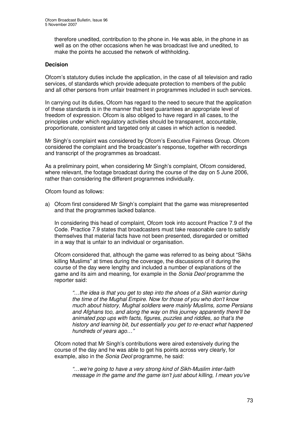therefore unedited, contribution to the phone in. He was able, in the phone in as well as on the other occasions when he was broadcast live and unedited, to make the points he accused the network of withholding*.*

## **Decision**

Ofcom's statutory duties include the application, in the case of all television and radio services, of standards which provide adequate protection to members of the public and all other persons from unfair treatment in programmes included in such services.

In carrying out its duties, Ofcom has regard to the need to secure that the application of these standards is in the manner that best guarantees an appropriate level of freedom of expression. Ofcom is also obliged to have regard in all cases, to the principles under which regulatory activities should be transparent, accountable, proportionate, consistent and targeted only at cases in which action is needed.

Mr Singh's complaint was considered by Ofcom's Executive Fairness Group. Ofcom considered the complaint and the broadcaster's response, together with recordings and transcript of the programmes as broadcast.

As a preliminary point, when considering Mr Singh's complaint, Ofcom considered, where relevant, the footage broadcast during the course of the day on 5 June 2006, rather than considering the different programmes individually.

Ofcom found as follows:

a) Ofcom first considered Mr Singh's complaint that the game was misrepresented and that the programmes lacked balance.

In considering this head of complaint, Ofcom took into account Practice 7.9 of the Code. Practice 7.9 states that broadcasters must take reasonable care to satisfy themselves that material facts have not been presented, disregarded or omitted in a way that is unfair to an individual or organisation.

Ofcom considered that, although the game was referred to as being about "Sikhs killing Muslims" at times during the coverage, the discussions of it during the course of the day were lengthy and included a number of explanations of the game and its aim and meaning, for example in the *Sonia Deol* programme the reporter said:

*"…the idea is that you get to step into the shoes of a Sikh warrior during the time of the Mughal Empire. Now for those of you who don't know much about history, Mughal soldiers were mainly Muslims, some Persians and Afghans too, and along the way on this journey apparently there'll be animated pop ups with facts, figures, puzzles and riddles, so that's the history and learning bit, but essentially you get to re-enact what happened hundreds of years ago…"*

Ofcom noted that Mr Singh's contributions were aired extensively during the course of the day and he was able to get his points across very clearly, for example, also in the *Sonia Deol* programme, he said:

*"…we're going to have a very strong kind of Sikh-Muslim inter-faith message in the game and the game isn't just about killing, I mean you've*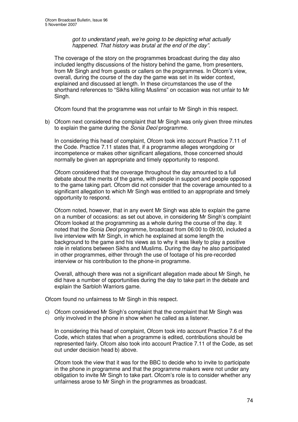*got to understand yeah, we're going to be depicting what actually happened. That history was brutal at the end of the day"*.

The coverage of the story on the programmes broadcast during the day also included lengthy discussions of the history behind the game, from presenters, from Mr Singh and from guests or callers on the programmes. In Ofcom's view, overall, during the course of the day the game was set in its wider context, explained and discussed at length. In these circumstances the use of the shorthand references to "Sikhs killing Muslims" on occasion was not unfair to Mr Singh.

Ofcom found that the programme was not unfair to Mr Singh in this respect.

b) Ofcom next considered the complaint that Mr Singh was only given three minutes to explain the game during the *Sonia Deol* programme.

In considering this head of complaint, Ofcom took into account Practice 7.11 of the Code. Practice 7.11 states that, if a programme alleges wrongdoing or incompetence or makes other significant allegations, those concerned should normally be given an appropriate and timely opportunity to respond.

Ofcom considered that the coverage throughout the day amounted to a full debate about the merits of the game, with people in support and people opposed to the game taking part. Ofcom did not consider that the coverage amounted to a significant allegation to which Mr Singh was entitled to an appropriate and timely opportunity to respond.

Ofcom noted, however, that in any event Mr Singh was able to explain the game on a number of occasions: as set out above, in considering Mr Singh's complaint Ofcom looked at the programming as a whole during the course of the day. It noted that the *Sonia Deol* programme, broadcast from 06:00 to 09:00, included a live interview with Mr Singh, in which he explained at some length the background to the game and his views as to why it was likely to play a positive role in relations between Sikhs and Muslims. During the day he also participated in other programmes, either through the use of footage of his pre-recorded interview or his contribution to the phone-in programme.

Overall, although there was not a significant allegation made about Mr Singh, he did have a number of opportunities during the day to take part in the debate and explain the Sarbloh Warriors game.

Ofcom found no unfairness to Mr Singh in this respect.

c) Ofcom considered Mr Singh's complaint that the complaint that Mr Singh was only involved in the phone in show when he called as a listener.

In considering this head of complaint, Ofcom took into account Practice 7.6 of the Code, which states that when a programme is edited, contributions should be represented fairly. Ofcom also took into account Practice 7.11 of the Code, as set out under decision head b) above.

Ofcom took the view that it was for the BBC to decide who to invite to participate in the phone in programme and that the programme makers were not under any obligation to invite Mr Singh to take part. Ofcom's role is to consider whether any unfairness arose to Mr Singh in the programmes as broadcast.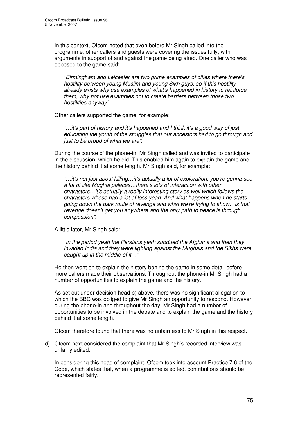In this context, Ofcom noted that even before Mr Singh called into the programme, other callers and guests were covering the issues fully, with arguments in support of and against the game being aired. One caller who was opposed to the game said:

*"Birmingham and Leicester are two prime examples of cities where there's hostility between young Muslim and young Sikh guys, so if this hostility already exists why use examples of what's happened in history to reinforce them, why not use examples not to create barriers between those two hostilities anyway".*

Other callers supported the game, for example:

*"…it's part of history and it's happened and I think it's a good way of just educating the youth of the struggles that our ancestors had to go through and just to be proud of what we are".*

During the course of the phone-in, Mr Singh called and was invited to participate in the discussion, which he did. This enabled him again to explain the game and the history behind it at some length. Mr Singh said, for example:

*"…it's not just about killing…it's actually a lot of exploration, you're gonna see a lot of like Mughal palaces…there's lots of interaction with other characters…it's actually a really interesting story as well which follows the characters whose had a lot of loss yeah. And what happens when he starts going down the dark route of revenge and what we're trying to show…is that revenge doesn't get you anywhere and the only path to peace is through compassion".*

A little later, Mr Singh said:

*"In the period yeah the Persians yeah subdued the Afghans and then they invaded India and they were fighting against the Mughals and the Sikhs were caught up in the middle of it…"*

He then went on to explain the history behind the game in some detail before more callers made their observations. Throughout the phone-in Mr Singh had a number of opportunities to explain the game and the history.

As set out under decision head b) above, there was no significant allegation to which the BBC was obliged to give Mr Singh an opportunity to respond. However, during the phone-in and throughout the day, Mr Singh had a number of opportunities to be involved in the debate and to explain the game and the history behind it at some length.

Ofcom therefore found that there was no unfairness to Mr Singh in this respect.

d) Ofcom next considered the complaint that Mr Singh's recorded interview was unfairly edited.

In considering this head of complaint, Ofcom took into account Practice 7.6 of the Code, which states that, when a programme is edited, contributions should be represented fairly.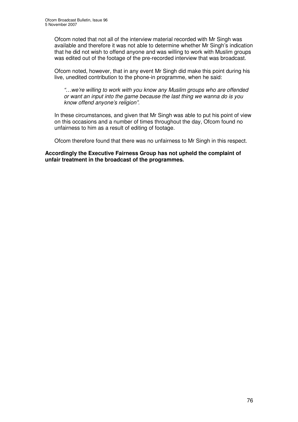Ofcom noted that not all of the interview material recorded with Mr Singh was available and therefore it was not able to determine whether Mr Singh's indication that he did not wish to offend anyone and was willing to work with Muslim groups was edited out of the footage of the pre-recorded interview that was broadcast.

Ofcom noted, however, that in any event Mr Singh did make this point during his live, unedited contribution to the phone-in programme, when he said:

*"…we're willing to work with you know any Muslim groups who are offended or want an input into the game because the last thing we wanna do is you know offend anyone's religion".*

In these circumstances, and given that Mr Singh was able to put his point of view on this occasions and a number of times throughout the day, Ofcom found no unfairness to him as a result of editing of footage.

Ofcom therefore found that there was no unfairness to Mr Singh in this respect.

**Accordingly the Executive Fairness Group has not upheld the complaint of unfair treatment in the broadcast of the programmes.**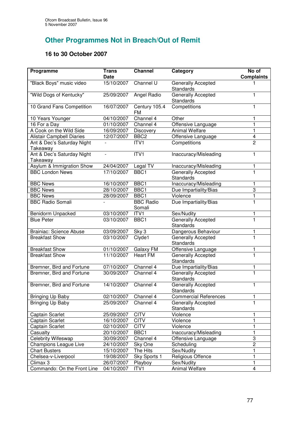## **Other Programmes Not in Breach/Out of Remit**

## **16 to 30 October 2007**

| Programme                              | <b>Trans</b><br><b>Date</b> | <b>Channel</b>             | Category                               | No of<br><b>Complaints</b> |
|----------------------------------------|-----------------------------|----------------------------|----------------------------------------|----------------------------|
| "Black Boys" music video               | 15/10/2007                  | Channel U                  | Generally Accepted<br>Standards        |                            |
| "Wild Dogs of Kentucky"                | 25/09/2007                  | Angel Radio                | Generally Accepted<br>Standards        | 1                          |
| 10 Grand Fans Competition              | 16/07/2007                  | Century 105.4<br>FM        | Competitions                           | 1                          |
| 10 Years Younger                       | 04/10/2007                  | Channel 4                  | Other                                  | 1                          |
| 16 For a Day                           | 01/10/2007                  | Channel 4                  | Offensive Language                     | 1                          |
| A Cook on the Wild Side                | 16/09/2007                  | Discovery                  | <b>Animal Welfare</b>                  | $\mathbf{1}$               |
| <b>Alistair Campbell Diaries</b>       | 12/07/2007                  | BBC <sub>2</sub>           | Offensive Language                     | $\overline{\mathbf{4}}$    |
| Ant & Dec's Saturday Night<br>Takeaway |                             | ITV1                       | Competitions                           | $\overline{2}$             |
| Ant & Dec's Saturday Night<br>Takeaway | $\overline{a}$              | ITV1                       | Inaccuracy/Misleading                  | 1                          |
| Asylum & Immigration Show              | 24/04/2007                  | Legal $T\overline{V}$      | Inaccuracy/Misleading                  | 1                          |
| <b>BBC London News</b>                 | 17/10/2007                  | BBC <sub>1</sub>           | <b>Generally Accepted</b><br>Standards | 1                          |
| <b>BBC News</b>                        | 16/10/2007                  | BBC1                       | Inaccuracy/Misleading                  | 1                          |
| <b>BBC News</b>                        | 28/10/2007                  | BBC <sub>1</sub>           | Due Impartiality/Bias                  | 3                          |
| <b>BBC News</b>                        | 28/09/2007                  | BBC1                       | Violence                               | $\overline{\mathbf{1}}$    |
| <b>BBC Radio Somali</b>                |                             | <b>BBC Radio</b><br>Somali | Due Impartiality/Bias                  | $\overline{1}$             |
| Benidorm Unpacked                      | 03/10/2007                  | ITV1                       | Sex/Nudity                             | 1                          |
| <b>Blue Peter</b>                      | 03/10/2007                  | BBC1                       | Generally Accepted<br>Standards        | $\overline{1}$             |
| <b>Brainiac: Science Abuse</b>         | 03/09/2007                  | Sky 3                      | Dangerous Behaviour                    | 1                          |
| <b>Breakfast Show</b>                  | 03/10/2007                  | Clyde1                     | Generally Accepted<br>Standards        | $\overline{1}$             |
| <b>Breakfast Show</b>                  | 01/10/2007                  | Galaxy FM                  | Offensive Language                     | 1                          |
| <b>Breakfast Show</b>                  | 11/10/2007                  | <b>Heart FM</b>            | Generally Accepted<br>Standards        | $\overline{\mathbf{1}}$    |
| Bremner, Bird and Fortune              | 07/10/2007                  | Channel 4                  | Due Impartiality/Bias                  | 1                          |
| Bremner, Bird and Fortune              | 30/09/2007                  | Channel 4                  | Generally Accepted<br><b>Standards</b> | $\overline{1}$             |
| Bremner, Bird and Fortune              | 14/10/2007                  | Channel 4                  | Generally Accepted<br>Standards        | 1                          |
| Bringing Up Baby                       | 02/10/2007                  | Channel 4                  | <b>Commercial References</b>           | 1                          |
| Bringing Up Baby                       | 25/09/2007                  | Channel 4                  | Generally Accepted<br><b>Standards</b> | 1                          |
| Captain Scarlet                        | 25/09/2007                  | <b>CITV</b>                | Violence                               | 1                          |
| Captain Scarlet                        | 16/10/2007                  | <b>CITV</b>                | Violence                               | 1                          |
| Captain Scarlet                        | 02/10/2007                  | <b>CITV</b>                | Violence                               | 1                          |
| Casualty                               | 20/10/2007                  | BBC1                       | Inaccuracy/Misleading                  | 1                          |
| <b>Celebrity Wifeswap</b>              | 30/09/2007                  | Channel 4                  | Offensive Language                     | 3                          |
| Champions League Live                  | 24/10/2007                  | Sky One                    | Scheduling                             | $\overline{2}$             |
| <b>Chart Busters</b>                   | 15/10/2007                  | The Hits                   | Sex/Nudity                             | 1                          |
| Chelsea-v-Liverpool                    | 19/08/2007                  | Sky Sports 1               | Religious Offence                      | 1                          |
| Climax 3                               | 26/07/2007                  | Playboy                    | Sex/Nudity                             | 1                          |
| Commando: On the Front Line            | 04/10/2007                  | ITV1                       | Animal Welfare                         | 4                          |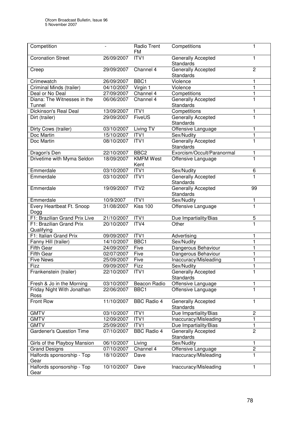| Competition                            |            | Radio Trent<br>FM        | Competitions                           | $\mathbf 1$    |
|----------------------------------------|------------|--------------------------|----------------------------------------|----------------|
| <b>Coronation Street</b>               | 26/09/2007 | ITV1                     | Generally Accepted<br><b>Standards</b> | 1              |
| Creep                                  | 29/09/2007 | Channel 4                | Generally Accepted<br><b>Standards</b> | $\overline{c}$ |
| Crimewatch                             | 26/09/2007 | BBC1                     | Violence                               | 1              |
| Criminal Minds (trailer)               | 04/10/2007 | Virgin 1                 | Violence                               | 1              |
| Deal or No Deal                        | 27/09/2007 | Channel 4                | Competitions                           | 1              |
| Diana: The Witnesses in the<br>Tunnel  | 06/06/2007 | Channel 4                | Generally Accepted<br><b>Standards</b> | $\mathbf 1$    |
| Dickinson's Real Deal                  | 13/09/2007 | ITVI                     | Competitions                           | 1              |
| Dirt (trailer)                         | 29/09/2007 | FiveUS                   | Generally Accepted<br><b>Standards</b> | 1              |
| Dirty Cows (trailer)                   | 03/10/2007 | Living TV                | Offensive Language                     | 1              |
| Doc Martin                             | 15/10/2007 | ITV1                     | Sex/Nudity                             | 1              |
| Doc Martin                             | 08/10/2007 | ITV1                     | Generally Accepted<br><b>Standards</b> | 1              |
| Dragon's Den                           | 22/10/2007 | BBC <sub>2</sub>         | Exorcism/Occult/Paranormal             | 1              |
| Drivetime with Myma Seldon             | 18/09/2007 | <b>KMFM West</b><br>Kent | Offensive Language                     | 1              |
| Emmerdale                              | 03/10/2007 | ITV1                     | Sex/Nudity                             | 6              |
| Emmerdale                              | 03/10/2007 | ITV1                     | Generally Accepted<br>Standards        | $\mathbf{1}$   |
| Emmerdale                              | 19/09/2007 | ITV <sub>2</sub>         | Generally Accepted<br><b>Standards</b> | 99             |
| Emmerdale                              | 10/9/2007  | ITVI                     | Sex/Nudity                             | 1              |
| Every Heartbeat Ft. Snoop<br>Dogg      | 31/08/2007 | Kiss 100                 | Offensive Language                     | $\blacksquare$ |
| F1: Brazilian Grand Prix Live          | 21/10/2007 | ITV1                     | Due Impartiality/Bias                  | 5              |
| F1: Brazilian Grand Prix<br>Qualifying | 20/10/2007 | ITV4                     | Other                                  | 1              |
| F1: Italian Grand Prix                 | 09/09/2007 | ITV1                     | Advertising                            | 1              |
| Fanny Hill (trailer)                   | 14/10/2007 | BBC1                     | Sex/Nudity                             | 1              |
| <b>Fifth Gear</b>                      | 24/09/2007 | Five                     | Dangerous Behaviour                    | 1              |
| Fifth Gear                             | 02/07/2007 | Five                     | Dangerous Behaviour                    | 1              |
| <b>Five News</b>                       | 25/09/2007 | Five                     | Inaccuracy/Misleading                  | 1              |
| Fizz                                   | 09/09/2007 | Fizz                     | Sex/Nudity                             | 1              |
| Frankenstein (trailer)                 | 22/10/2007 | ITV1                     | Generally Accepted<br>Standards        |                |
| Fresh & Jo in the Morning              | 03/10/2007 | <b>Beacon Radio</b>      | Offensive Language                     | 1              |
| Friday Night With Jonathan<br>Ross     | 22/06/2007 | BBC1                     | Offensive Language                     | 1              |
| Front Row                              | 11/10/2007 | <b>BBC Radio 4</b>       | Generally Accepted<br>Standards        | 1              |
| <b>GMTV</b>                            | 03/10/2007 | ITV1                     | Due Impartiality/Bias                  | 2              |
| <b>GMTV</b>                            | 12/09/2007 | ITV1                     | Inaccuracy/Misleading                  | 1              |
| GMTV                                   | 25/09/2007 | ITV <sub>1</sub>         | Due Impartiality/Bias                  | 1              |
| <b>Gardener's Question Time</b>        | 07/10/2007 | <b>BBC Radio 4</b>       | Generally Accepted<br><b>Standards</b> | $\overline{c}$ |
| Girls of the Playboy Mansion           | 06/10/2007 | Living                   | Sex/Nudity                             | 1              |
| <b>Grand Designs</b>                   | 07/10/2007 | Channel 4                | Offensive Language                     | $\overline{c}$ |
| Halfords sponsorship - Top<br>Gear     | 18/10/2007 | Dave                     | Inaccuracy/Misleading                  | $\mathbf{1}$   |
| Halfords sponsorship - Top<br>Gear     | 10/10/2007 | Dave                     | Inaccuracy/Misleading                  | 1              |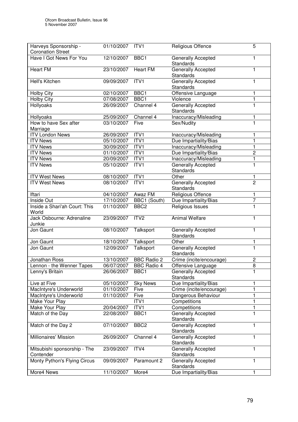| Harveys Sponsorship -         | 01/10/2007 | ITV1               | Religious Offence                      | 5              |
|-------------------------------|------------|--------------------|----------------------------------------|----------------|
| <b>Coronation Street</b>      |            |                    |                                        |                |
| Have I Got News For You       | 12/10/2007 | BBC1               | Generally Accepted                     | 1              |
|                               |            |                    | Standards                              |                |
| <b>Heart FM</b>               | 23/10/2007 | <b>Heart FM</b>    | Generally Accepted                     | 1              |
|                               |            |                    | <b>Standards</b>                       |                |
| Hell's Kitchen                | 09/09/2007 | ITV1               | Generally Accepted                     | 1              |
|                               |            |                    | <b>Standards</b>                       |                |
| <b>Holby City</b>             | 02/10/2007 | BBC <sub>1</sub>   | Offensive Language                     | 1              |
|                               | 07/08/2007 | BBC1               | Violence                               | $\mathbf{1}$   |
| <b>Holby City</b>             |            |                    |                                        |                |
| Hollyoaks                     | 26/09/2007 | Channel 4          | <b>Generally Accepted</b>              | 1              |
|                               |            |                    | Standards                              |                |
| Hollyoaks                     | 25/09/2007 | Channel 4          | Inaccuracy/Misleading                  | 1              |
| How to have Sex after         | 03/10/2007 | Five               | Sex/Nudity                             | 1              |
| Marriage                      |            |                    |                                        |                |
| <b>ITV London News</b>        | 26/09/2007 | ITV1               | Inaccuracy/Misleading                  | 1              |
| <b>ITV News</b>               | 05/10/2007 | ITVI               | Due Impartiality/Bias                  | 1              |
| <b>ITV News</b>               | 30/09/2007 | ITV1               | Inaccuracy/Misleading                  | 1              |
| <b>ITV News</b>               | 01/10/2007 | ITVI               | Due Impartiality/Bias                  | $\overline{c}$ |
| <b>ITV News</b>               | 20/09/2007 | ITV1               | Inaccuracy/Misleading                  | $\mathbf{1}$   |
|                               |            |                    |                                        |                |
| <b>ITV News</b>               | 05/10/2007 | ITVI               | Generally Accepted                     | $\mathbf 1$    |
|                               |            |                    | <b>Standards</b>                       |                |
| <b>ITV West News</b>          | 08/10/2007 | ITV1               | Other                                  | 1              |
| <b>ITV West News</b>          | 08/10/2007 | ITV1               | Generally Accepted                     | $\overline{2}$ |
|                               |            |                    | <b>Standards</b>                       |                |
| Iftari                        | 04/10/2007 | Awaz FM            | Religious Offence                      | 1              |
| Inside Out                    | 17/10/2007 | BBC1 (South)       | Due Impartiality/Bias                  | 7              |
| Inside a Shari'ah Court: This | 01/10/2007 | BBC <sub>2</sub>   | Religious Issues                       | $\mathbf{1}$   |
| World                         |            |                    |                                        |                |
| Jack Osbourne: Adrenaline     | 23/09/2007 | ITV <sub>2</sub>   | <b>Animal Welfare</b>                  | 1              |
| Junkie                        |            |                    |                                        |                |
| Jon Gaunt                     | 08/10/2007 | Talksport          |                                        | 1              |
|                               |            |                    | Generally Accepted<br><b>Standards</b> |                |
|                               |            |                    |                                        |                |
| Jon Gaunt                     | 18/10/2007 | Talksport          | Other                                  | 1              |
| Jon Gaunt                     | 12/09/2007 | Talksport          | <b>Generally Accepted</b>              | $\mathbf{1}$   |
|                               |            |                    | Standards                              |                |
| Jonathan Ross                 | 13/10/2007 | <b>BBC Radio 2</b> | Crime (incite/encourage)               | 2              |
| Lennon - the Wenner Tapes     | 06/07/2007 | <b>BBC Radio 4</b> | Offensive Language                     | 8              |
| Lenny's Britain               | 26/06/2007 | BBC1               | Generally Accepted                     |                |
|                               |            |                    | <b>Standards</b>                       |                |
| Live at Five                  | 05/10/2007 | <b>Sky News</b>    | Due Impartiality/Bias                  | 1              |
| MacIntyre's Underworld        | 01/10/2007 | Five               | Crime (incite/encourage)               | 1              |
| MacIntyre's Underworld        | 01/10/2007 | Five               | Dangerous Behaviour                    | 1              |
| Make Your Play                |            | ITV1               | Competitions                           | 1              |
| Make Your Play                | 20/04/2007 | ITV1               | Competitions                           | 1              |
|                               |            |                    |                                        | 1              |
| Match of the Day              | 22/08/2007 | BBC1               | Generally Accepted                     |                |
|                               |            |                    | <b>Standards</b>                       |                |
| Match of the Day 2            | 07/10/2007 | BBC <sub>2</sub>   | Generally Accepted                     | 1              |
|                               |            |                    | <b>Standards</b>                       |                |
| Millionaires' Mission         | 26/09/2007 | Channel 4          | Generally Accepted                     | 1              |
|                               |            |                    | <b>Standards</b>                       |                |
| Mitsubishi sponsorship - The  | 23/09/2007 | ITV4               | Generally Accepted                     | 1              |
| Contender                     |            |                    | <b>Standards</b>                       |                |
| Monty Python's Flying Circus  | 09/09/2007 | Paramount 2        | Generally Accepted                     | 1              |
|                               |            |                    | <b>Standards</b>                       |                |
|                               |            |                    |                                        |                |
| More4 News                    | 11/10/2007 | More4              | Due Impartiality/Bias                  | 1              |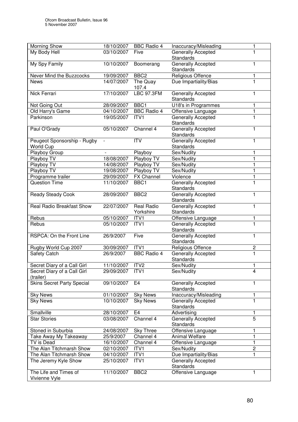| <b>Morning Show</b>               | 18/10/2007 | <b>BBC Radio 4</b> | Inaccuracy/Misleading     | 1                       |
|-----------------------------------|------------|--------------------|---------------------------|-------------------------|
| My Body Hell                      | 03/10/2007 | Five               | Generally Accepted        | 1                       |
|                                   |            |                    | <b>Standards</b>          |                         |
| My Spy Family                     | 10/10/2007 | Boomerang          | Generally Accepted        | 1                       |
|                                   |            |                    | <b>Standards</b>          |                         |
| Never Mind the Buzzcocks          | 19/09/2007 | BBC <sub>2</sub>   | Religious Offence         | 1                       |
| <b>News</b>                       | 14/07/2007 | The Quay           | Due Impartiality/Bias     | $\mathbf{1}$            |
|                                   |            | 107.4              |                           |                         |
| Nick Ferrari                      | 17/10/2007 | <b>LBC 97.3FM</b>  | Generally Accepted        | 1                       |
|                                   |            |                    | <b>Standards</b>          |                         |
| Not Going Out                     | 28/09/2007 | BBC1               | U18's in Programmes       | 1                       |
| Old Harry's Game                  | 04/10/2007 | <b>BBC Radio 4</b> | Offensive Language        | 1                       |
| Parkinson                         | 19/05/2007 | ITV1               | <b>Generally Accepted</b> | 1                       |
|                                   |            |                    | <b>Standards</b>          |                         |
| Paul O'Grady                      | 05/10/2007 | Channel 4          | Generally Accepted        | 1                       |
|                                   |            |                    | <b>Standards</b>          |                         |
| Peugeot Sponsorship - Rugby       |            | <b>ITV</b>         | Generally Accepted        | 1                       |
| <b>World Cup</b>                  |            |                    | <b>Standards</b>          |                         |
| Playboy Group                     |            | Playboy            | Sex/Nudity                | 1                       |
| Playboy TV                        | 18/08/2007 | Playboy TV         | Sex/Nudity                | 1                       |
| Playboy TV                        | 14/08/2007 | Playboy TV         | Sex/Nudity                | 1                       |
| Playboy TV                        | 19/08/2007 | Playboy TV         | Sex/Nudity                | 1                       |
| Programme trailer                 | 29/09/2007 | <b>FX Channel</b>  | Violence                  | 1                       |
| <b>Question Time</b>              | 11/10/2007 | BBC1               | Generally Accepted        | 1                       |
|                                   |            |                    | Standards                 |                         |
| <b>Ready Steady Cook</b>          | 28/09/2007 | BBC <sub>2</sub>   | Generally Accepted        | 1                       |
|                                   |            |                    | Standards                 |                         |
| <b>Real Radio Breakfast Show</b>  | 22/07/2007 | <b>Real Radio</b>  | Generally Accepted        | 1                       |
|                                   |            | Yorkshire          | <b>Standards</b>          |                         |
| Rebus                             | 05/10/2007 | ITV1               | Offensive Language        | 1                       |
| Rebus                             | 05/10/2007 | ITV1               | Generally Accepted        | 1                       |
|                                   |            |                    | Standards                 |                         |
| RSPCA: On the Front Line          | 26/9/2007  | Five               | <b>Generally Accepted</b> | 1                       |
|                                   |            |                    | <b>Standards</b>          |                         |
| Rugby World Cup 2007              | 30/09/2007 | ITV1               | Religious Offence         | $\overline{\mathbf{c}}$ |
| Safety Catch                      | 26/9/2007  | <b>BBC Radio 4</b> | Generally Accepted        | $\mathbf{1}$            |
|                                   |            |                    | <b>Standards</b>          |                         |
| Secret Diary of a Call Girl       | 11/10/2007 | ITV <sub>2</sub>   | Sex/Nudity                | 1                       |
| Secret Diary of a Call Girl       | 29/09/2007 | ITV1               | Sex/Nudity                | 4                       |
| (trailer)                         |            |                    |                           |                         |
| <b>Skins Secret Party Special</b> | 09/10/2007 | E4                 | Generally Accepted        | 1                       |
|                                   |            |                    | <b>Standards</b>          |                         |
| Sky News                          | 01/10/2007 | <b>Sky News</b>    | Inaccuracy/Misleading     | 1                       |
| <b>Sky News</b>                   | 10/10/2007 | <b>Sky News</b>    | Generally Accepted        | 1                       |
|                                   |            |                    | <b>Standards</b>          |                         |
| Smallville                        | 28/10/2007 | E <sub>4</sub>     | Advertising               | 1                       |
| <b>Star Stories</b>               | 03/08/2007 | Channel 4          | Generally Accepted        | 5                       |
|                                   |            |                    | <b>Standards</b>          |                         |
| Stoned in Suburbia                | 24/08/2007 | <b>Sky Three</b>   | Offensive Language        | 1                       |
| Take Away My Takeaway             | 25/9/2007  | Channel 4          | <b>Animal Welfare</b>     | $\mathbf{1}$            |
| TV is Dead                        | 16/10/2007 | Channel 4          | Offensive Language        | $\mathbf{1}$            |
| The Alan Titchmarsh Show          | 02/10/2007 | ITV1               | Sex/Nudity                | $\overline{c}$          |
| The Alan Titchmarsh Show          | 04/10/2007 | ITV1               | Due Impartiality/Bias     | 1                       |
| The Jeremy Kyle Show              | 25/10/2007 | ITV1               | Generally Accepted        |                         |
| The Life and Times of             |            |                    | Standards                 |                         |
| Vivienne Vyle                     | 11/10/2007 | BBC <sub>2</sub>   | Offensive Language        | 1                       |
|                                   |            |                    |                           |                         |